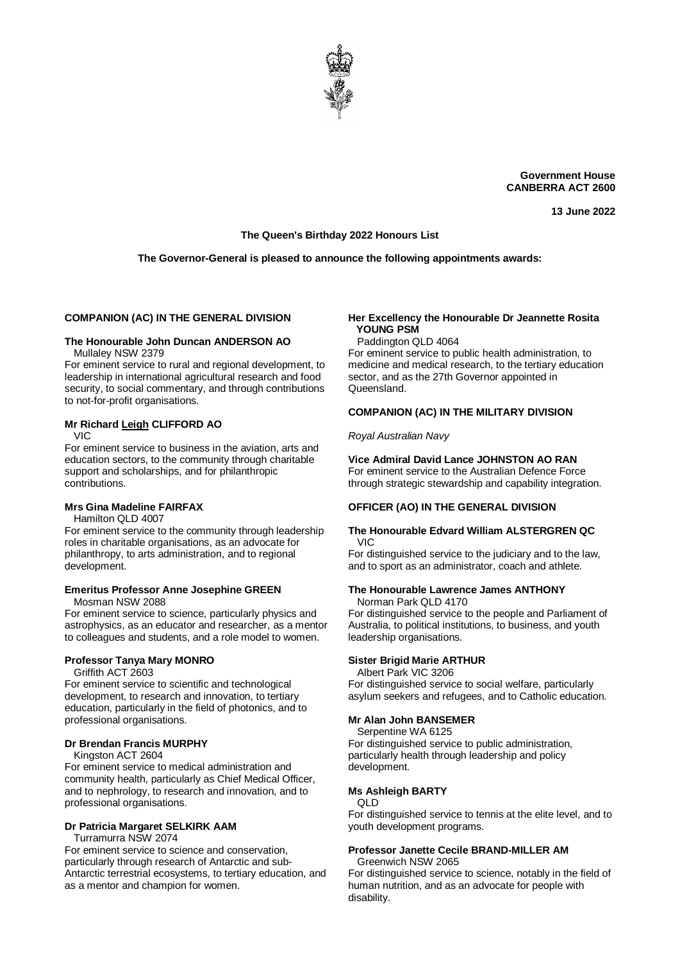

**Government House CANBERRA ACT 2600**

**13 June 2022**

#### **The Queen's Birthday 2022 Honours List**

#### **The Governor-General is pleased to announce the following appointments awards:**

#### **COMPANION (AC) IN THE GENERAL DIVISION**

#### **The Honourable John Duncan ANDERSON AO** Mullaley NSW 2379

For eminent service to rural and regional development, to leadership in international agricultural research and food security, to social commentary, and through contributions to not-for-profit organisations.

#### **Mr Richard Leigh CLIFFORD AO** VIC

For eminent service to business in the aviation, arts and education sectors, to the community through charitable support and scholarships, and for philanthropic contributions.

#### **Mrs Gina Madeline FAIRFAX**

Hamilton QLD 4007

For eminent service to the community through leadership roles in charitable organisations, as an advocate for philanthropy, to arts administration, and to regional development.

# **Emeritus Professor Anne Josephine GREEN**

Mosman NSW 2088

For eminent service to science, particularly physics and astrophysics, as an educator and researcher, as a mentor to colleagues and students, and a role model to women.

# **Professor Tanya Mary MONRO**

Griffith ACT 2603

For eminent service to scientific and technological development, to research and innovation, to tertiary education, particularly in the field of photonics, and to professional organisations.

#### **Dr Brendan Francis MURPHY**

Kingston ACT 2604

For eminent service to medical administration and community health, particularly as Chief Medical Officer, and to nephrology, to research and innovation, and to professional organisations.

#### **Dr Patricia Margaret SELKIRK AAM**

Turramurra NSW 2074

For eminent service to science and conservation, particularly through research of Antarctic and sub-Antarctic terrestrial ecosystems, to tertiary education, and as a mentor and champion for women.

#### **Her Excellency the Honourable Dr Jeannette Rosita YOUNG PSM**

Paddington QLD 4064

For eminent service to public health administration, to medicine and medical research, to the tertiary education sector, and as the 27th Governor appointed in Queensland.

#### **COMPANION (AC) IN THE MILITARY DIVISION**

*Royal Australian Navy*

# **Vice Admiral David Lance JOHNSTON AO RAN**

For eminent service to the Australian Defence Force through strategic stewardship and capability integration.

# **OFFICER (AO) IN THE GENERAL DIVISION**

#### **The Honourable Edvard William ALSTERGREN QC** VIC

For distinguished service to the judiciary and to the law, and to sport as an administrator, coach and athlete.

#### **The Honourable Lawrence James ANTHONY**

Norman Park QLD 4170

For distinguished service to the people and Parliament of Australia, to political institutions, to business, and youth leadership organisations.

#### **Sister Brigid Marie ARTHUR**

Albert Park VIC 3206

For distinguished service to social welfare, particularly asylum seekers and refugees, and to Catholic education.

#### **Mr Alan John BANSEMER**

Serpentine WA 6125

For distinguished service to public administration, particularly health through leadership and policy development.

#### **Ms Ashleigh BARTY**

QLD

For distinguished service to tennis at the elite level, and to youth development programs.

#### **Professor Janette Cecile BRAND-MILLER AM** Greenwich NSW 2065

For distinguished service to science, notably in the field of human nutrition, and as an advocate for people with disability.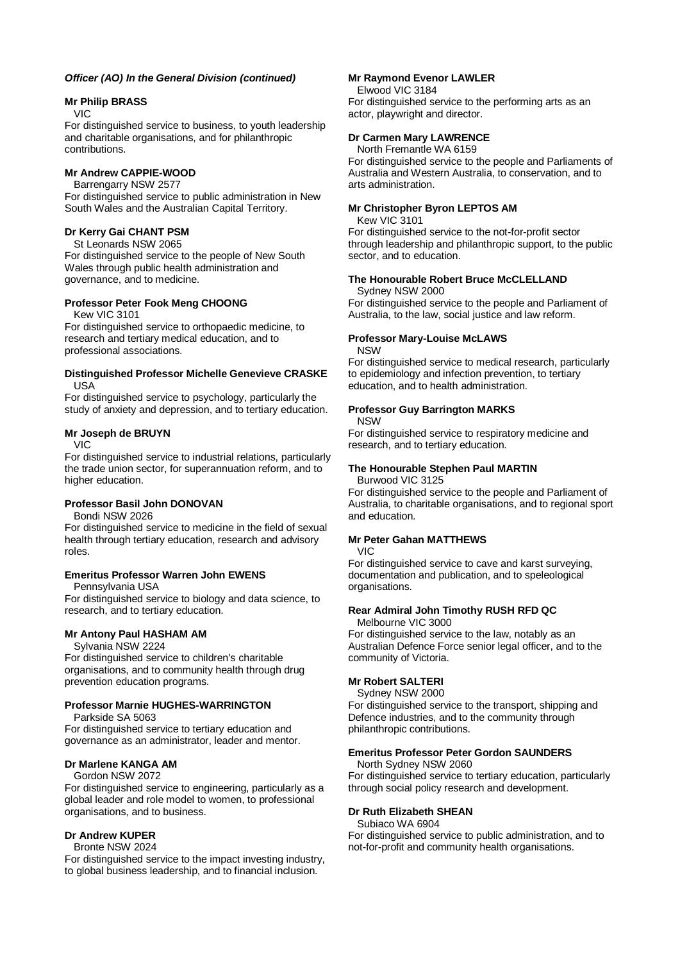#### *Officer (AO) In the General Division (continued)*

# **Mr Philip BRASS**

#### VIC

For distinguished service to business, to youth leadership and charitable organisations, and for philanthropic contributions.

#### **Mr Andrew CAPPIE-WOOD**

Barrengarry NSW 2577

For distinguished service to public administration in New South Wales and the Australian Capital Territory.

#### **Dr Kerry Gai CHANT PSM**

St Leonards NSW 2065

For distinguished service to the people of New South Wales through public health administration and governance, and to medicine.

#### **Professor Peter Fook Meng CHOONG**

Kew VIC 3101

For distinguished service to orthopaedic medicine, to research and tertiary medical education, and to professional associations.

#### **Distinguished Professor Michelle Genevieve CRASKE** USA

For distinguished service to psychology, particularly the study of anxiety and depression, and to tertiary education.

#### **Mr Joseph de BRUYN**

VIC

For distinguished service to industrial relations, particularly the trade union sector, for superannuation reform, and to higher education.

# **Professor Basil John DONOVAN**

Bondi NSW 2026

For distinguished service to medicine in the field of sexual health through tertiary education, research and advisory roles.

# **Emeritus Professor Warren John EWENS**

Pennsylvania USA

For distinguished service to biology and data science, to research, and to tertiary education.

# **Mr Antony Paul HASHAM AM**

Sylvania NSW 2224

For distinguished service to children's charitable organisations, and to community health through drug prevention education programs.

# **Professor Marnie HUGHES-WARRINGTON**

Parkside SA 5063

For distinguished service to tertiary education and governance as an administrator, leader and mentor.

# **Dr Marlene KANGA AM**

Gordon NSW 2072 For distinguished service to engineering, particularly as a global leader and role model to women, to professional organisations, and to business.

# **Dr Andrew KUPER**

#### Bronte NSW 2024

For distinguished service to the impact investing industry, to global business leadership, and to financial inclusion.

#### **Mr Raymond Evenor LAWLER**

Elwood VIC 3184

For distinguished service to the performing arts as an actor, playwright and director.

# **Dr Carmen Mary LAWRENCE**

North Fremantle WA 6159

For distinguished service to the people and Parliaments of Australia and Western Australia, to conservation, and to arts administration.

# **Mr Christopher Byron LEPTOS AM**

Kew VIC 3101

For distinguished service to the not-for-profit sector through leadership and philanthropic support, to the public sector, and to education.

#### **The Honourable Robert Bruce McCLELLAND** Sydney NSW 2000

For distinguished service to the people and Parliament of Australia, to the law, social justice and law reform.

#### **Professor Mary-Louise McLAWS NSW**

For distinguished service to medical research, particularly to epidemiology and infection prevention, to tertiary education, and to health administration.

# **Professor Guy Barrington MARKS**

NSW

For distinguished service to respiratory medicine and research, and to tertiary education.

# **The Honourable Stephen Paul MARTIN**

Burwood VIC 3125

For distinguished service to the people and Parliament of Australia, to charitable organisations, and to regional sport and education.

# **Mr Peter Gahan MATTHEWS**

VIC

For distinguished service to cave and karst surveying, documentation and publication, and to speleological organisations.

# **Rear Admiral John Timothy RUSH RFD QC**

Melbourne VIC 3000

For distinguished service to the law, notably as an Australian Defence Force senior legal officer, and to the community of Victoria.

# **Mr Robert SALTERI**

Sydney NSW 2000 For distinguished service to the transport, shipping and

Defence industries, and to the community through philanthropic contributions.

# **Emeritus Professor Peter Gordon SAUNDERS**

North Sydney NSW 2060

For distinguished service to tertiary education, particularly through social policy research and development.

#### **Dr Ruth Elizabeth SHEAN**

#### Subiaco WA 6904

For distinguished service to public administration, and to not-for-profit and community health organisations.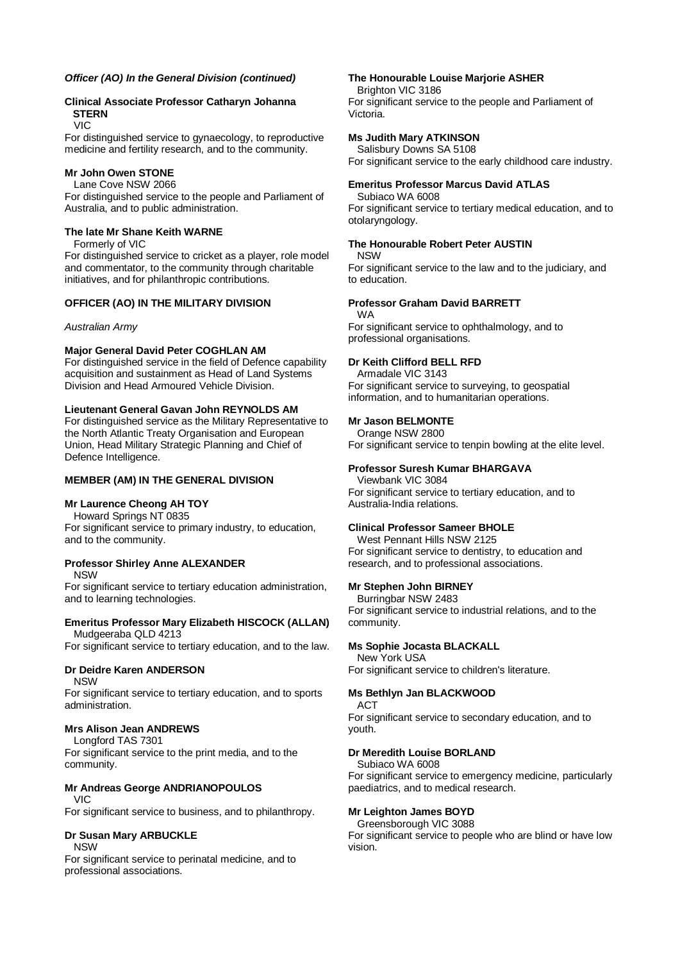#### *Officer (AO) In the General Division (continued)*

# **Clinical Associate Professor Catharyn Johanna STERN**

VIC

For distinguished service to gynaecology, to reproductive medicine and fertility research, and to the community.

# **Mr John Owen STONE**

Lane Cove NSW 2066 For distinguished service to the people and Parliament of Australia, and to public administration.

#### **The late Mr Shane Keith WARNE**

Formerly of VIC

For distinguished service to cricket as a player, role model and commentator, to the community through charitable initiatives, and for philanthropic contributions.

# **OFFICER (AO) IN THE MILITARY DIVISION**

#### *Australian Army*

#### **Major General David Peter COGHLAN AM**

For distinguished service in the field of Defence capability acquisition and sustainment as Head of Land Systems Division and Head Armoured Vehicle Division.

#### **Lieutenant General Gavan John REYNOLDS AM**

For distinguished service as the Military Representative to the North Atlantic Treaty Organisation and European Union, Head Military Strategic Planning and Chief of Defence Intelligence.

#### **MEMBER (AM) IN THE GENERAL DIVISION**

# **Mr Laurence Cheong AH TOY**

Howard Springs NT 0835 For significant service to primary industry, to education, and to the community.

#### **Professor Shirley Anne ALEXANDER** NSW

For significant service to tertiary education administration, and to learning technologies.

# **Emeritus Professor Mary Elizabeth HISCOCK (ALLAN)**

Mudgeeraba QLD 4213 For significant service to tertiary education, and to the law.

# **Dr Deidre Karen ANDERSON**

NSW

For significant service to tertiary education, and to sports administration.

# **Mrs Alison Jean ANDREWS**

Longford TAS 7301 For significant service to the print media, and to the community.

# **Mr Andreas George ANDRIANOPOULOS**

VIC

For significant service to business, and to philanthropy.

# **Dr Susan Mary ARBUCKLE**

NSW

For significant service to perinatal medicine, and to professional associations.

#### **The Honourable Louise Marjorie ASHER**

Brighton VIC 3186 For significant service to the people and Parliament of Victoria.

# **Ms Judith Mary ATKINSON**

Salisbury Downs SA 5108 For significant service to the early childhood care industry.

# **Emeritus Professor Marcus David ATLAS**

Subiaco WA 6008 For significant service to tertiary medical education, and to otolaryngology.

# **The Honourable Robert Peter AUSTIN**

NSW For significant service to the law and to the judiciary, and to education.

#### **Professor Graham David BARRETT**

WA

For significant service to ophthalmology, and to professional organisations.

# **Dr Keith Clifford BELL RFD**

Armadale VIC 3143 For significant service to surveying, to geospatial information, and to humanitarian operations.

# **Mr Jason BELMONTE**

Orange NSW 2800 For significant service to tenpin bowling at the elite level.

#### **Professor Suresh Kumar BHARGAVA**

Viewbank VIC 3084 For significant service to tertiary education, and to Australia-India relations.

# **Clinical Professor Sameer BHOLE**

West Pennant Hills NSW 2125 For significant service to dentistry, to education and research, and to professional associations.

#### **Mr Stephen John BIRNEY**

Burringbar NSW 2483 For significant service to industrial relations, and to the community.

# **Ms Sophie Jocasta BLACKALL**

New York USA For significant service to children's literature.

# **Ms Bethlyn Jan BLACKWOOD**

ACT For significant service to secondary education, and to youth.

#### **Dr Meredith Louise BORLAND**

Subiaco WA 6008

For significant service to emergency medicine, particularly paediatrics, and to medical research.

#### **Mr Leighton James BOYD**

Greensborough VIC 3088 For significant service to people who are blind or have low vision.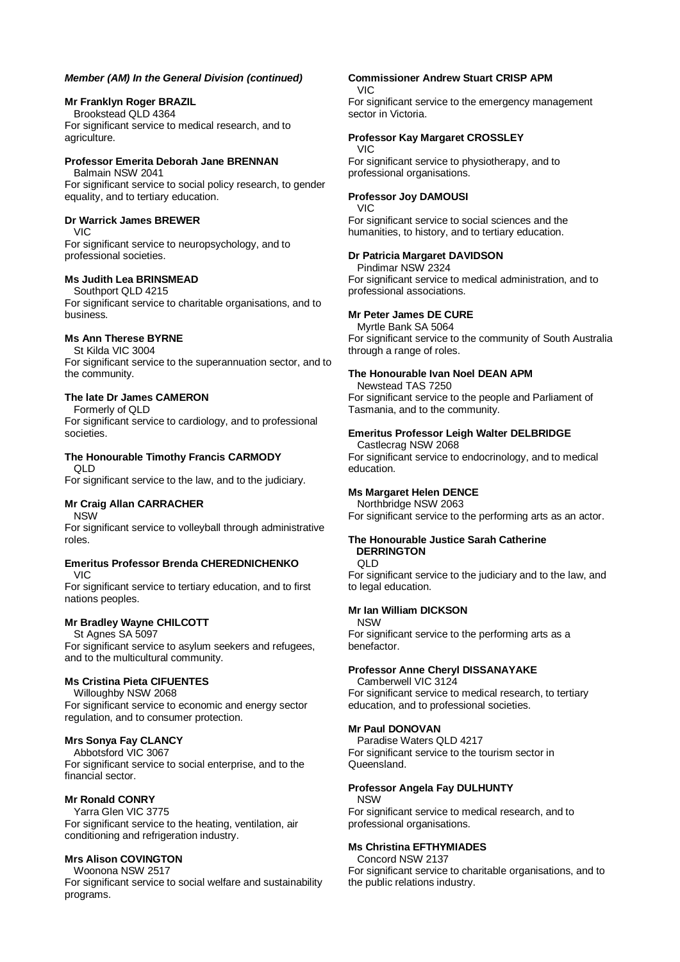#### **Mr Franklyn Roger BRAZIL**

Brookstead QLD 4364 For significant service to medical research, and to agriculture.

#### **Professor Emerita Deborah Jane BRENNAN** Balmain NSW 2041

For significant service to social policy research, to gender equality, and to tertiary education.

# **Dr Warrick James BREWER**

VIC

For significant service to neuropsychology, and to professional societies.

#### **Ms Judith Lea BRINSMEAD**

Southport QLD 4215

For significant service to charitable organisations, and to business.

# **Ms Ann Therese BYRNE**

St Kilda VIC 3004 For significant service to the superannuation sector, and to the community.

# **The late Dr James CAMERON**

Formerly of QLD

For significant service to cardiology, and to professional societies.

#### **The Honourable Timothy Francis CARMODY** QLD

For significant service to the law, and to the judiciary.

# **Mr Craig Allan CARRACHER**

NSW

For significant service to volleyball through administrative roles.

#### **Emeritus Professor Brenda CHEREDNICHENKO** VIC

For significant service to tertiary education, and to first nations peoples.

# **Mr Bradley Wayne CHILCOTT**

St Agnes SA 5097

For significant service to asylum seekers and refugees, and to the multicultural community.

# **Ms Cristina Pieta CIFUENTES**

Willoughby NSW 2068

For significant service to economic and energy sector regulation, and to consumer protection.

# **Mrs Sonya Fay CLANCY**

Abbotsford VIC 3067 For significant service to social enterprise, and to the financial sector.

# **Mr Ronald CONRY**

Yarra Glen VIC 3775 For significant service to the heating, ventilation, air conditioning and refrigeration industry.

# **Mrs Alison COVINGTON**

Woonona NSW 2517

For significant service to social welfare and sustainability programs.

#### **Commissioner Andrew Stuart CRISP APM** VIC

For significant service to the emergency management sector in Victoria.

# **Professor Kay Margaret CROSSLEY**

#### VIC

For significant service to physiotherapy, and to professional organisations.

# **Professor Joy DAMOUSI**

VIC For significant service to social sciences and the humanities, to history, and to tertiary education.

# **Dr Patricia Margaret DAVIDSON**

Pindimar NSW 2324 For significant service to medical administration, and to professional associations.

# **Mr Peter James DE CURE**

Myrtle Bank SA 5064 For significant service to the community of South Australia through a range of roles.

# **The Honourable Ivan Noel DEAN APM**

Newstead TAS 7250 For significant service to the people and Parliament of Tasmania, and to the community.

# **Emeritus Professor Leigh Walter DELBRIDGE**

Castlecrag NSW 2068 For significant service to endocrinology, and to medical education.

# **Ms Margaret Helen DENCE**

Northbridge NSW 2063 For significant service to the performing arts as an actor.

#### **The Honourable Justice Sarah Catherine DERRINGTON**

QLD

For significant service to the judiciary and to the law, and to legal education.

# **Mr Ian William DICKSON**

NSW For significant service to the performing arts as a benefactor.

# **Professor Anne Cheryl DISSANAYAKE**

Camberwell VIC 3124 For significant service to medical research, to tertiary education, and to professional societies.

# **Mr Paul DONOVAN**

Paradise Waters QLD 4217 For significant service to the tourism sector in Queensland.

# **Professor Angela Fay DULHUNTY**

NSW

For significant service to medical research, and to professional organisations.

# **Ms Christina EFTHYMIADES**

Concord NSW 2137 For significant service to charitable organisations, and to the public relations industry.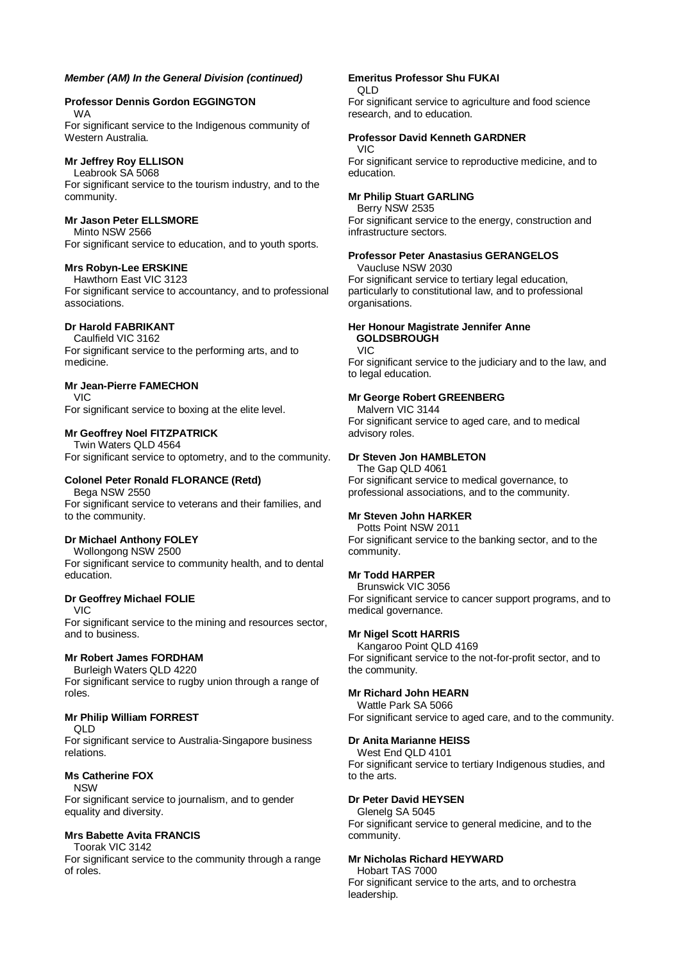# **Professor Dennis Gordon EGGINGTON**

WA

For significant service to the Indigenous community of Western Australia.

# **Mr Jeffrey Roy ELLISON**

Leabrook SA 5068 For significant service to the tourism industry, and to the community.

#### **Mr Jason Peter ELLSMORE**

Minto NSW 2566 For significant service to education, and to youth sports.

# **Mrs Robyn-Lee ERSKINE**

Hawthorn East VIC 3123 For significant service to accountancy, and to professional associations.

# **Dr Harold FABRIKANT**

Caulfield VIC 3162 For significant service to the performing arts, and to medicine.

# **Mr Jean-Pierre FAMECHON**

VIC

For significant service to boxing at the elite level.

# **Mr Geoffrey Noel FITZPATRICK**

Twin Waters QLD 4564 For significant service to optometry, and to the community.

# **Colonel Peter Ronald FLORANCE (Retd)**

Bega NSW 2550 For significant service to veterans and their families, and to the community.

# **Dr Michael Anthony FOLEY**

Wollongong NSW 2500

For significant service to community health, and to dental education.

# **Dr Geoffrey Michael FOLIE**

VIC

For significant service to the mining and resources sector, and to business.

# **Mr Robert James FORDHAM**

Burleigh Waters QLD 4220

For significant service to rugby union through a range of roles.

# **Mr Philip William FORREST**

QLD

For significant service to Australia-Singapore business relations.

# **Ms Catherine FOX**

NSW

For significant service to journalism, and to gender equality and diversity.

# **Mrs Babette Avita FRANCIS**

Toorak VIC 3142

For significant service to the community through a range of roles.

# **Emeritus Professor Shu FUKAI**

QLD For significant service to agriculture and food science research, and to education.

# **Professor David Kenneth GARDNER**

#### VIC

For significant service to reproductive medicine, and to education.

# **Mr Philip Stuart GARLING**

Berry NSW 2535 For significant service to the energy, construction and infrastructure sectors.

#### **Professor Peter Anastasius GERANGELOS**

Vaucluse NSW 2030 For significant service to tertiary legal education, particularly to constitutional law, and to professional organisations.

#### **Her Honour Magistrate Jennifer Anne GOLDSBROUGH**

VIC

For significant service to the judiciary and to the law, and to legal education.

#### **Mr George Robert GREENBERG**

Malvern VIC 3144 For significant service to aged care, and to medical advisory roles.

#### **Dr Steven Jon HAMBLETON**

The Gap QLD 4061 For significant service to medical governance, to professional associations, and to the community.

# **Mr Steven John HARKER**

Potts Point NSW 2011 For significant service to the banking sector, and to the community.

# **Mr Todd HARPER**

Brunswick VIC 3056 For significant service to cancer support programs, and to medical governance.

# **Mr Nigel Scott HARRIS**

Kangaroo Point QLD 4169 For significant service to the not-for-profit sector, and to the community.

# **Mr Richard John HEARN**

Wattle Park SA 5066 For significant service to aged care, and to the community.

# **Dr Anita Marianne HEISS**

#### West End QLD 4101

For significant service to tertiary Indigenous studies, and to the arts.

# **Dr Peter David HEYSEN**

# Glenelg SA 5045

For significant service to general medicine, and to the community.

# **Mr Nicholas Richard HEYWARD**

Hobart TAS 7000 For significant service to the arts, and to orchestra leadership.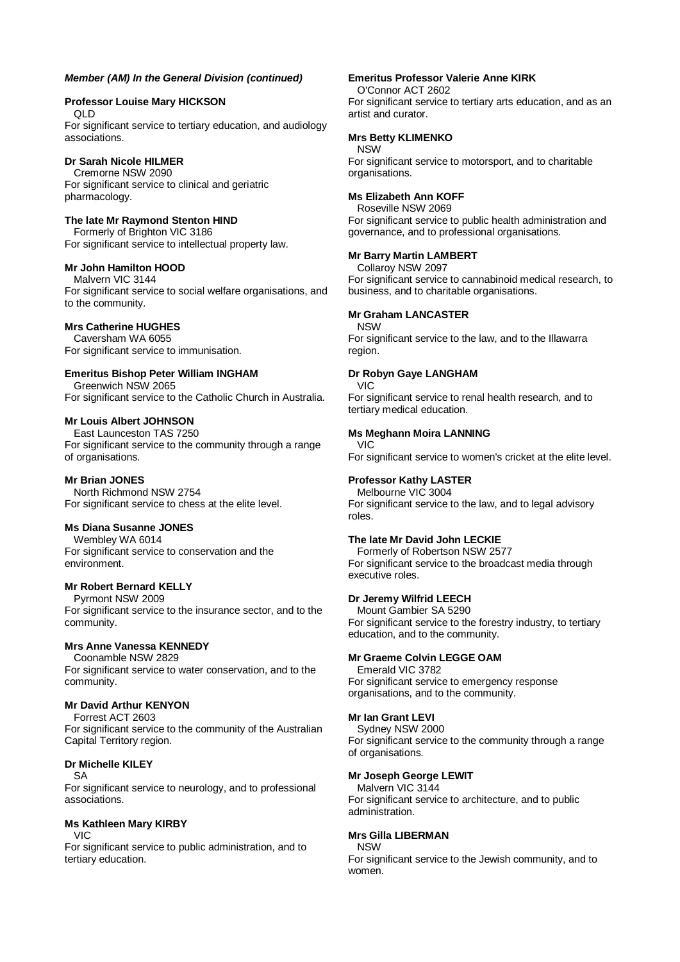#### **Professor Louise Mary HICKSON**

QLD

For significant service to tertiary education, and audiology associations.

# **Dr Sarah Nicole HILMER**

Cremorne NSW 2090 For significant service to clinical and geriatric pharmacology.

# **The late Mr Raymond Stenton HIND**

Formerly of Brighton VIC 3186 For significant service to intellectual property law.

# **Mr John Hamilton HOOD**

Malvern VIC 3144 For significant service to social welfare organisations, and to the community.

#### **Mrs Catherine HUGHES**

Caversham WA 6055 For significant service to immunisation.

# **Emeritus Bishop Peter William INGHAM**

Greenwich NSW 2065 For significant service to the Catholic Church in Australia.

# **Mr Louis Albert JOHNSON**

East Launceston TAS 7250 For significant service to the community through a range of organisations.

#### **Mr Brian JONES**

North Richmond NSW 2754 For significant service to chess at the elite level.

#### **Ms Diana Susanne JONES**

Wembley WA 6014 For significant service to conservation and the environment.

#### **Mr Robert Bernard KELLY**

Pyrmont NSW 2009 For significant service to the insurance sector, and to the community.

# **Mrs Anne Vanessa KENNEDY**

Coonamble NSW 2829 For significant service to water conservation, and to the community.

# **Mr David Arthur KENYON**

Forrest ACT 2603 For significant service to the community of the Australian Capital Territory region.

#### **Dr Michelle KILEY** SA

For significant service to neurology, and to professional associations.

# **Ms Kathleen Mary KIRBY**

VIC

For significant service to public administration, and to tertiary education.

#### **Emeritus Professor Valerie Anne KIRK**

O'Connor ACT 2602 For significant service to tertiary arts education, and as an artist and curator.

#### **Mrs Betty KLIMENKO**

#### NSW

For significant service to motorsport, and to charitable organisations.

#### **Ms Elizabeth Ann KOFF**

Roseville NSW 2069 For significant service to public health administration and governance, and to professional organisations.

#### **Mr Barry Martin LAMBERT**

Collaroy NSW 2097 For significant service to cannabinoid medical research, to business, and to charitable organisations.

#### **Mr Graham LANCASTER**

**NSW** 

For significant service to the law, and to the Illawarra region.

#### **Dr Robyn Gaye LANGHAM**

VIC For significant service to renal health research, and to tertiary medical education.

#### **Ms Meghann Moira LANNING**

# VIC

For significant service to women's cricket at the elite level.

# **Professor Kathy LASTER**

Melbourne VIC 3004 For significant service to the law, and to legal advisory roles.

# **The late Mr David John LECKIE**

Formerly of Robertson NSW 2577 For significant service to the broadcast media through executive roles.

#### **Dr Jeremy Wilfrid LEECH**

Mount Gambier SA 5290 For significant service to the forestry industry, to tertiary education, and to the community.

# **Mr Graeme Colvin LEGGE OAM**

Emerald VIC 3782 For significant service to emergency response organisations, and to the community.

#### **Mr Ian Grant LEVI**

Sydney NSW 2000 For significant service to the community through a range of organisations.

# **Mr Joseph George LEWIT**

Malvern VIC 3144 For significant service to architecture, and to public administration.

#### **Mrs Gilla LIBERMAN**

**NSW** For significant service to the Jewish community, and to women.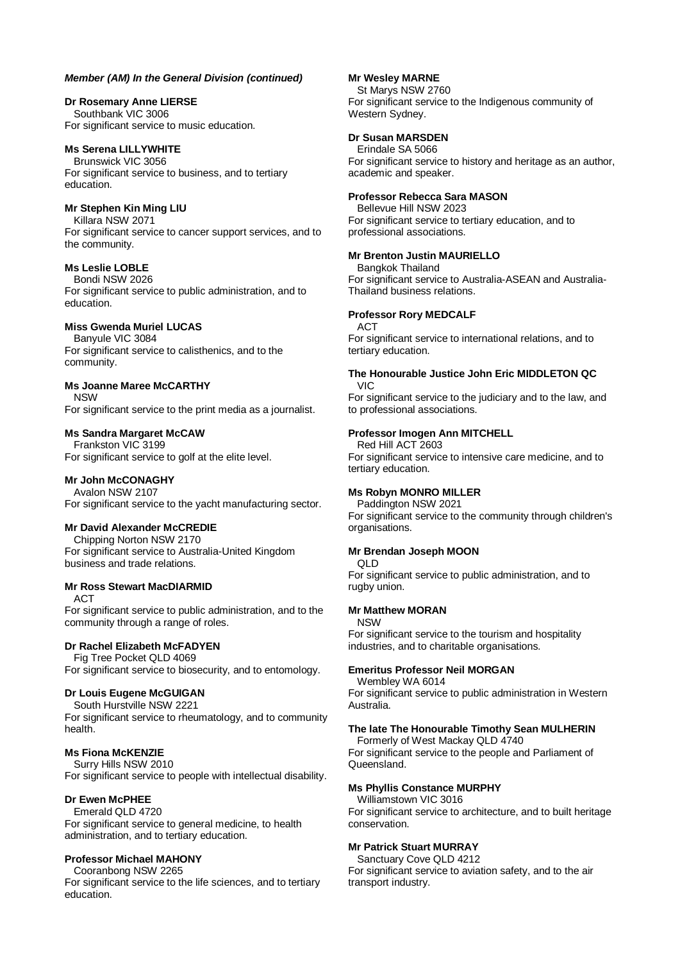#### **Dr Rosemary Anne LIERSE**

Southbank VIC 3006 For significant service to music education.

#### **Ms Serena LILLYWHITE**

Brunswick VIC 3056 For significant service to business, and to tertiary education.

#### **Mr Stephen Kin Ming LIU**

Killara NSW 2071 For significant service to cancer support services, and to the community.

# **Ms Leslie LOBLE**

Bondi NSW 2026 For significant service to public administration, and to education.

# **Miss Gwenda Muriel LUCAS**

Banyule VIC 3084 For significant service to calisthenics, and to the community.

#### **Ms Joanne Maree McCARTHY**

NSW For significant service to the print media as a journalist.

#### **Ms Sandra Margaret McCAW**

Frankston VIC 3199 For significant service to golf at the elite level.

#### **Mr John McCONAGHY**

Avalon NSW 2107 For significant service to the yacht manufacturing sector.

# **Mr David Alexander McCREDIE**

Chipping Norton NSW 2170 For significant service to Australia-United Kingdom business and trade relations.

#### **Mr Ross Stewart MacDIARMID**

ACT

For significant service to public administration, and to the community through a range of roles.

# **Dr Rachel Elizabeth McFADYEN**

Fig Tree Pocket QLD 4069 For significant service to biosecurity, and to entomology.

# **Dr Louis Eugene McGUIGAN**

South Hurstville NSW 2221 For significant service to rheumatology, and to community health.

#### **Ms Fiona McKENZIE**

Surry Hills NSW 2010 For significant service to people with intellectual disability.

#### **Dr Ewen McPHEE**

Emerald QLD 4720

For significant service to general medicine, to health administration, and to tertiary education.

#### **Professor Michael MAHONY**

Cooranbong NSW 2265

For significant service to the life sciences, and to tertiary education.

#### **Mr Wesley MARNE**

St Marys NSW 2760 For significant service to the Indigenous community of Western Sydney.

# **Dr Susan MARSDEN**

Erindale SA 5066 For significant service to history and heritage as an author, academic and speaker.

#### **Professor Rebecca Sara MASON**

Bellevue Hill NSW 2023 For significant service to tertiary education, and to professional associations.

#### **Mr Brenton Justin MAURIELLO**

Bangkok Thailand

For significant service to Australia-ASEAN and Australia-Thailand business relations.

#### **Professor Rory MEDCALF**

ACT

For significant service to international relations, and to tertiary education.

#### **The Honourable Justice John Eric MIDDLETON QC** VIC

For significant service to the judiciary and to the law, and to professional associations.

#### **Professor Imogen Ann MITCHELL**

Red Hill ACT 2603 For significant service to intensive care medicine, and to tertiary education.

# **Ms Robyn MONRO MILLER**

Paddington NSW 2021 For significant service to the community through children's organisations.

#### **Mr Brendan Joseph MOON**

QLD

For significant service to public administration, and to rugby union.

#### **Mr Matthew MORAN**

NSW

For significant service to the tourism and hospitality industries, and to charitable organisations.

# **Emeritus Professor Neil MORGAN**

Wembley WA 6014

For significant service to public administration in Western Australia.

# **The late The Honourable Timothy Sean MULHERIN**

Formerly of West Mackay QLD 4740 For significant service to the people and Parliament of

Queensland.

# **Ms Phyllis Constance MURPHY**

Williamstown VIC 3016 For significant service to architecture, and to built heritage conservation.

# **Mr Patrick Stuart MURRAY**

Sanctuary Cove QLD 4212 For significant service to aviation safety, and to the air transport industry.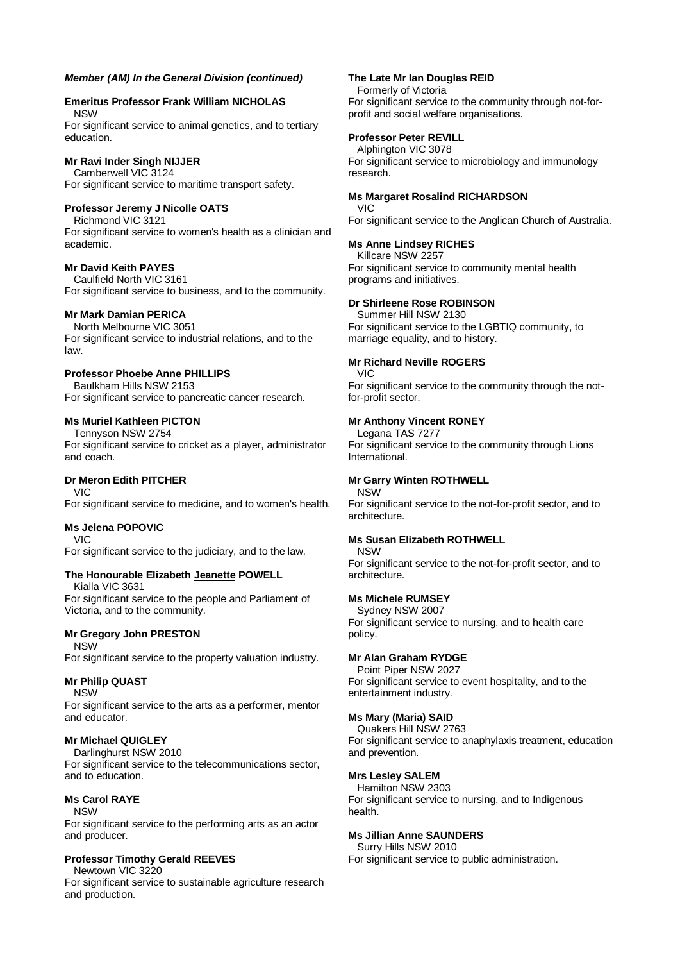#### **Emeritus Professor Frank William NICHOLAS** NSW

For significant service to animal genetics, and to tertiary education.

# **Mr Ravi Inder Singh NIJJER**

Camberwell VIC 3124 For significant service to maritime transport safety.

# **Professor Jeremy J Nicolle OATS**

Richmond VIC 3121 For significant service to women's health as a clinician and academic.

#### **Mr David Keith PAYES**

Caulfield North VIC 3161 For significant service to business, and to the community.

# **Mr Mark Damian PERICA**

North Melbourne VIC 3051 For significant service to industrial relations, and to the law.

# **Professor Phoebe Anne PHILLIPS**

Baulkham Hills NSW 2153 For significant service to pancreatic cancer research.

# **Ms Muriel Kathleen PICTON**

Tennyson NSW 2754 For significant service to cricket as a player, administrator and coach.

# **Dr Meron Edith PITCHER**

VIC For significant service to medicine, and to women's health.

# **Ms Jelena POPOVIC**

VIC For significant service to the judiciary, and to the law.

# **The Honourable Elizabeth Jeanette POWELL**

Kialla VIC 3631

For significant service to the people and Parliament of Victoria, and to the community.

# **Mr Gregory John PRESTON**

NSW

For significant service to the property valuation industry.

# **Mr Philip QUAST**

NSW

For significant service to the arts as a performer, mentor and educator.

# **Mr Michael QUIGLEY**

Darlinghurst NSW 2010

For significant service to the telecommunications sector, and to education.

# **Ms Carol RAYE**

NSW

For significant service to the performing arts as an actor and producer.

# **Professor Timothy Gerald REEVES**

Newtown VIC 3220

For significant service to sustainable agriculture research and production.

#### **The Late Mr Ian Douglas REID**

Formerly of Victoria For significant service to the community through not-forprofit and social welfare organisations.

# **Professor Peter REVILL**

Alphington VIC 3078 For significant service to microbiology and immunology research.

# **Ms Margaret Rosalind RICHARDSON**

VIC For significant service to the Anglican Church of Australia.

# **Ms Anne Lindsey RICHES**

Killcare NSW 2257 For significant service to community mental health programs and initiatives.

# **Dr Shirleene Rose ROBINSON**

Summer Hill NSW 2130 For significant service to the LGBTIQ community, to marriage equality, and to history.

# **Mr Richard Neville ROGERS**

VIC For significant service to the community through the notfor-profit sector.

# **Mr Anthony Vincent RONEY**

Legana TAS 7277

For significant service to the community through Lions International.

# **Mr Garry Winten ROTHWELL**

NSW For significant service to the not-for-profit sector, and to architecture.

# **Ms Susan Elizabeth ROTHWELL**

NSW

For significant service to the not-for-profit sector, and to architecture.

# **Ms Michele RUMSEY**

Sydney NSW 2007 For significant service to nursing, and to health care policy.

# **Mr Alan Graham RYDGE**

Point Piper NSW 2027 For significant service to event hospitality, and to the entertainment industry.

# **Ms Mary (Maria) SAID**

Quakers Hill NSW 2763 For significant service to anaphylaxis treatment, education and prevention.

#### **Mrs Lesley SALEM**

Hamilton NSW 2303 For significant service to nursing, and to Indigenous health.

# **Ms Jillian Anne SAUNDERS**

Surry Hills NSW 2010 For significant service to public administration.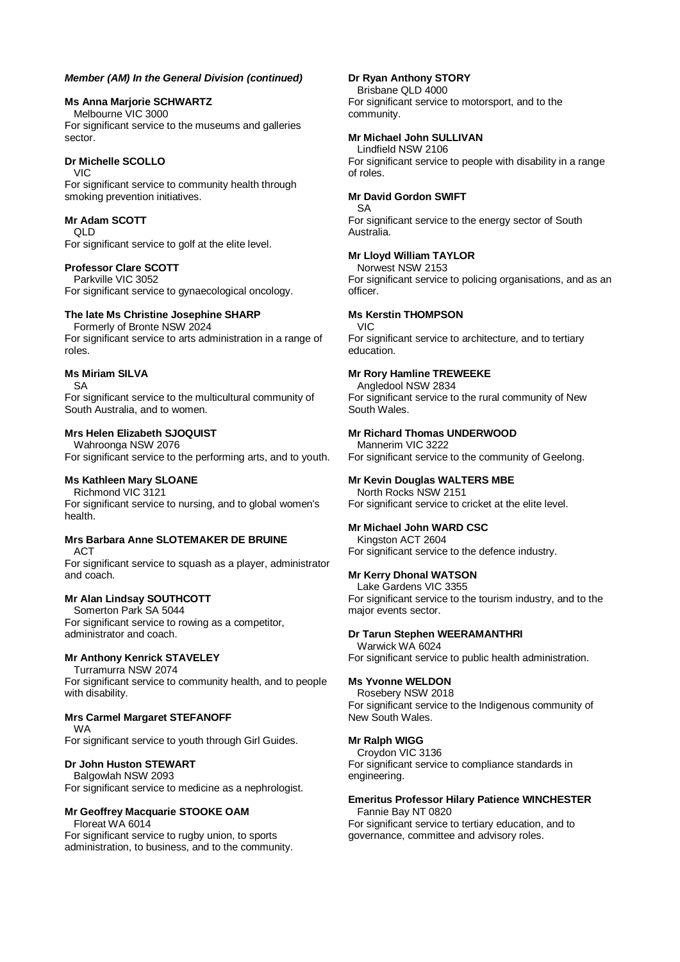#### **Ms Anna Marjorie SCHWARTZ**

Melbourne VIC 3000 For significant service to the museums and galleries sector.

# **Dr Michelle SCOLLO**

VIC

For significant service to community health through smoking prevention initiatives.

# **Mr Adam SCOTT**

QLD

For significant service to golf at the elite level.

# **Professor Clare SCOTT**

Parkville VIC 3052 For significant service to gynaecological oncology.

# **The late Ms Christine Josephine SHARP**

Formerly of Bronte NSW 2024 For significant service to arts administration in a range of roles.

#### **Ms Miriam SILVA**

SA

For significant service to the multicultural community of South Australia, and to women.

# **Mrs Helen Elizabeth SJOQUIST**

Wahroonga NSW 2076

For significant service to the performing arts, and to youth.

# **Ms Kathleen Mary SLOANE**

Richmond VIC 3121 For significant service to nursing, and to global women's health.

# **Mrs Barbara Anne SLOTEMAKER DE BRUINE**

ACT

For significant service to squash as a player, administrator and coach.

# **Mr Alan Lindsay SOUTHCOTT**

Somerton Park SA 5044 For significant service to rowing as a competitor, administrator and coach.

# **Mr Anthony Kenrick STAVELEY**

Turramurra NSW 2074

For significant service to community health, and to people with disability.

# **Mrs Carmel Margaret STEFANOFF**

WA

For significant service to youth through Girl Guides.

# **Dr John Huston STEWART**

Balgowlah NSW 2093 For significant service to medicine as a nephrologist.

# **Mr Geoffrey Macquarie STOOKE OAM**

Floreat WA 6014

For significant service to rugby union, to sports administration, to business, and to the community.

#### **Dr Ryan Anthony STORY**

Brisbane QLD 4000 For significant service to motorsport, and to the community.

#### **Mr Michael John SULLIVAN**

Lindfield NSW 2106 For significant service to people with disability in a range of roles.

#### **Mr David Gordon SWIFT**

SA For significant service to the energy sector of South Australia.

# **Mr Lloyd William TAYLOR**

Norwest NSW 2153 For significant service to policing organisations, and as an officer.

#### **Ms Kerstin THOMPSON**

VIC

For significant service to architecture, and to tertiary education.

#### **Mr Rory Hamline TREWEEKE**

Angledool NSW 2834 For significant service to the rural community of New South Wales.

#### **Mr Richard Thomas UNDERWOOD**

Mannerim VIC 3222 For significant service to the community of Geelong.

# **Mr Kevin Douglas WALTERS MBE**

North Rocks NSW 2151 For significant service to cricket at the elite level.

# **Mr Michael John WARD CSC**

Kingston ACT 2604 For significant service to the defence industry.

# **Mr Kerry Dhonal WATSON**

Lake Gardens VIC 3355 For significant service to the tourism industry, and to the major events sector.

#### **Dr Tarun Stephen WEERAMANTHRI**

Warwick WA 6024 For significant service to public health administration.

# **Ms Yvonne WELDON**

Rosebery NSW 2018 For significant service to the Indigenous community of New South Wales.

# **Mr Ralph WIGG**

Croydon VIC 3136 For significant service to compliance standards in engineering.

#### **Emeritus Professor Hilary Patience WINCHESTER** Fannie Bay NT 0820

For significant service to tertiary education, and to governance, committee and advisory roles.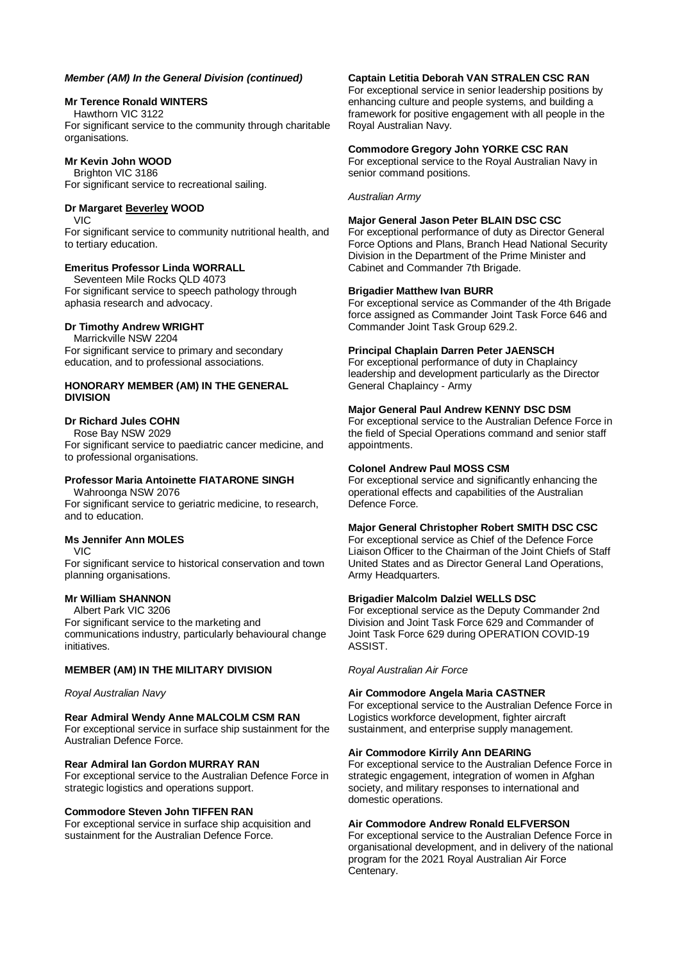#### **Mr Terence Ronald WINTERS**

Hawthorn VIC 3122 For significant service to the community through charitable organisations.

# **Mr Kevin John WOOD**

Brighton VIC 3186 For significant service to recreational sailing.

# **Dr Margaret Beverley WOOD**

VIC For significant service to community nutritional health, and to tertiary education.

# **Emeritus Professor Linda WORRALL**

Seventeen Mile Rocks QLD 4073 For significant service to speech pathology through aphasia research and advocacy.

# **Dr Timothy Andrew WRIGHT**

Marrickville NSW 2204 For significant service to primary and secondary education, and to professional associations.

#### **HONORARY MEMBER (AM) IN THE GENERAL DIVISION**

# **Dr Richard Jules COHN**

Rose Bay NSW 2029

For significant service to paediatric cancer medicine, and to professional organisations.

# **Professor Maria Antoinette FIATARONE SINGH**

Wahroonga NSW 2076 For significant service to geriatric medicine, to research, and to education.

# **Ms Jennifer Ann MOLES**

VIC

For significant service to historical conservation and town planning organisations.

# **Mr William SHANNON**

Albert Park VIC 3206

For significant service to the marketing and communications industry, particularly behavioural change initiatives.

# **MEMBER (AM) IN THE MILITARY DIVISION**

#### *Royal Australian Navy*

**Rear Admiral Wendy Anne MALCOLM CSM RAN** For exceptional service in surface ship sustainment for the Australian Defence Force.

# **Rear Admiral Ian Gordon MURRAY RAN**

For exceptional service to the Australian Defence Force in strategic logistics and operations support.

#### **Commodore Steven John TIFFEN RAN**

For exceptional service in surface ship acquisition and sustainment for the Australian Defence Force.

#### **Captain Letitia Deborah VAN STRALEN CSC RAN**

For exceptional service in senior leadership positions by enhancing culture and people systems, and building a framework for positive engagement with all people in the Royal Australian Navy.

#### **Commodore Gregory John YORKE CSC RAN**

For exceptional service to the Royal Australian Navy in senior command positions.

*Australian Army*

#### **Major General Jason Peter BLAIN DSC CSC**

For exceptional performance of duty as Director General Force Options and Plans, Branch Head National Security Division in the Department of the Prime Minister and Cabinet and Commander 7th Brigade.

#### **Brigadier Matthew Ivan BURR**

For exceptional service as Commander of the 4th Brigade force assigned as Commander Joint Task Force 646 and Commander Joint Task Group 629.2.

#### **Principal Chaplain Darren Peter JAENSCH**

For exceptional performance of duty in Chaplaincy leadership and development particularly as the Director General Chaplaincy - Army

#### **Major General Paul Andrew KENNY DSC DSM**

For exceptional service to the Australian Defence Force in the field of Special Operations command and senior staff appointments.

#### **Colonel Andrew Paul MOSS CSM**

For exceptional service and significantly enhancing the operational effects and capabilities of the Australian Defence Force.

# **Major General Christopher Robert SMITH DSC CSC**

For exceptional service as Chief of the Defence Force Liaison Officer to the Chairman of the Joint Chiefs of Staff United States and as Director General Land Operations, Army Headquarters.

#### **Brigadier Malcolm Dalziel WELLS DSC**

For exceptional service as the Deputy Commander 2nd Division and Joint Task Force 629 and Commander of Joint Task Force 629 during OPERATION COVID-19 ASSIST.

*Royal Australian Air Force*

# **Air Commodore Angela Maria CASTNER**

For exceptional service to the Australian Defence Force in Logistics workforce development, fighter aircraft sustainment, and enterprise supply management.

#### **Air Commodore Kirrily Ann DEARING**

For exceptional service to the Australian Defence Force in strategic engagement, integration of women in Afghan society, and military responses to international and domestic operations.

#### **Air Commodore Andrew Ronald ELFVERSON**

For exceptional service to the Australian Defence Force in organisational development, and in delivery of the national program for the 2021 Royal Australian Air Force Centenary.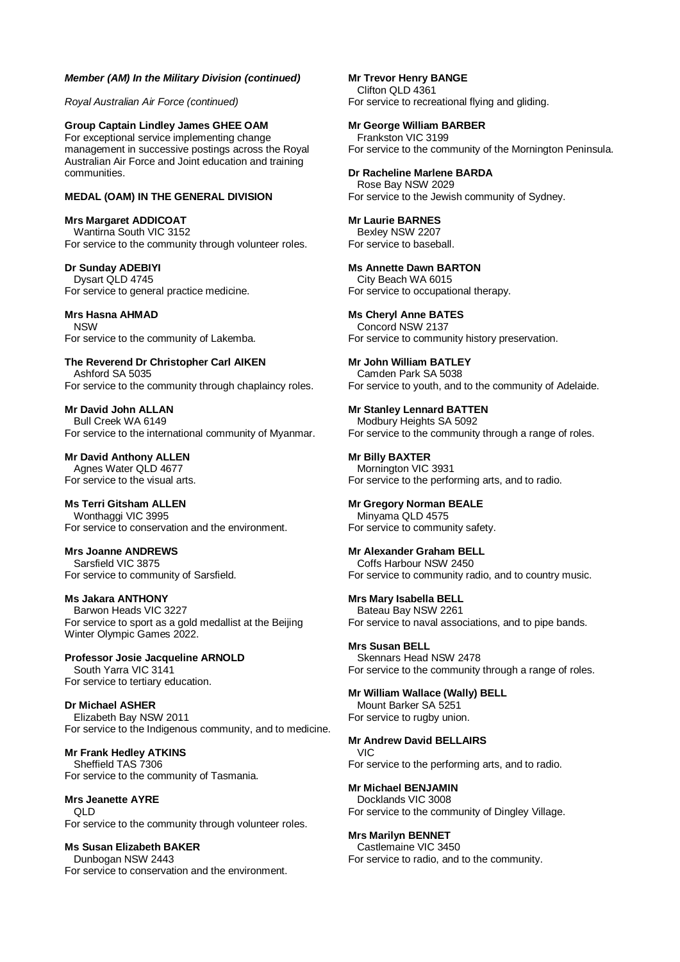#### *Member (AM) In the Military Division (continued)*

*Royal Australian Air Force (continued)*

**Group Captain Lindley James GHEE OAM** For exceptional service implementing change management in successive postings across the Royal Australian Air Force and Joint education and training communities.

# **MEDAL (OAM) IN THE GENERAL DIVISION**

**Mrs Margaret ADDICOAT** Wantirna South VIC 3152 For service to the community through volunteer roles.

**Dr Sunday ADEBIYI** Dysart QLD 4745 For service to general practice medicine.

**Mrs Hasna AHMAD** NSW For service to the community of Lakemba.

**The Reverend Dr Christopher Carl AIKEN** Ashford SA 5035 For service to the community through chaplaincy roles.

**Mr David John ALLAN** Bull Creek WA 6149 For service to the international community of Myanmar.

**Mr David Anthony ALLEN** Agnes Water QLD 4677 For service to the visual arts.

**Ms Terri Gitsham ALLEN** Wonthaggi VIC 3995 For service to conservation and the environment.

**Mrs Joanne ANDREWS** Sarsfield VIC 3875 For service to community of Sarsfield.

**Ms Jakara ANTHONY** Barwon Heads VIC 3227 For service to sport as a gold medallist at the Beijing Winter Olympic Games 2022.

**Professor Josie Jacqueline ARNOLD** South Yarra VIC 3141 For service to tertiary education.

**Dr Michael ASHER** Elizabeth Bay NSW 2011 For service to the Indigenous community, and to medicine.

**Mr Frank Hedley ATKINS** Sheffield TAS 7306 For service to the community of Tasmania.

**Mrs Jeanette AYRE**  $\bigcap$ For service to the community through volunteer roles.

**Ms Susan Elizabeth BAKER** Dunbogan NSW 2443 For service to conservation and the environment. **Mr Trevor Henry BANGE** Clifton QLD 4361 For service to recreational flying and gliding.

**Mr George William BARBER**

Frankston VIC 3199 For service to the community of the Mornington Peninsula.

**Dr Racheline Marlene BARDA** Rose Bay NSW 2029 For service to the Jewish community of Sydney.

**Mr Laurie BARNES** Bexley NSW 2207 For service to baseball.

**Ms Annette Dawn BARTON** City Beach WA 6015 For service to occupational therapy.

**Ms Cheryl Anne BATES** Concord NSW 2137 For service to community history preservation.

**Mr John William BATLEY** Camden Park SA 5038 For service to youth, and to the community of Adelaide.

**Mr Stanley Lennard BATTEN** Modbury Heights SA 5092 For service to the community through a range of roles.

**Mr Billy BAXTER** Mornington VIC 3931 For service to the performing arts, and to radio.

**Mr Gregory Norman BEALE** Minyama QLD 4575 For service to community safety.

**Mr Alexander Graham BELL** Coffs Harbour NSW 2450 For service to community radio, and to country music.

**Mrs Mary Isabella BELL** Bateau Bay NSW 2261 For service to naval associations, and to pipe bands.

**Mrs Susan BELL** Skennars Head NSW 2478 For service to the community through a range of roles.

**Mr William Wallace (Wally) BELL** Mount Barker SA 5251 For service to rugby union.

**Mr Andrew David BELLAIRS** VIC For service to the performing arts, and to radio.

**Mr Michael BENJAMIN** Docklands VIC 3008 For service to the community of Dingley Village.

**Mrs Marilyn BENNET** Castlemaine VIC 3450 For service to radio, and to the community.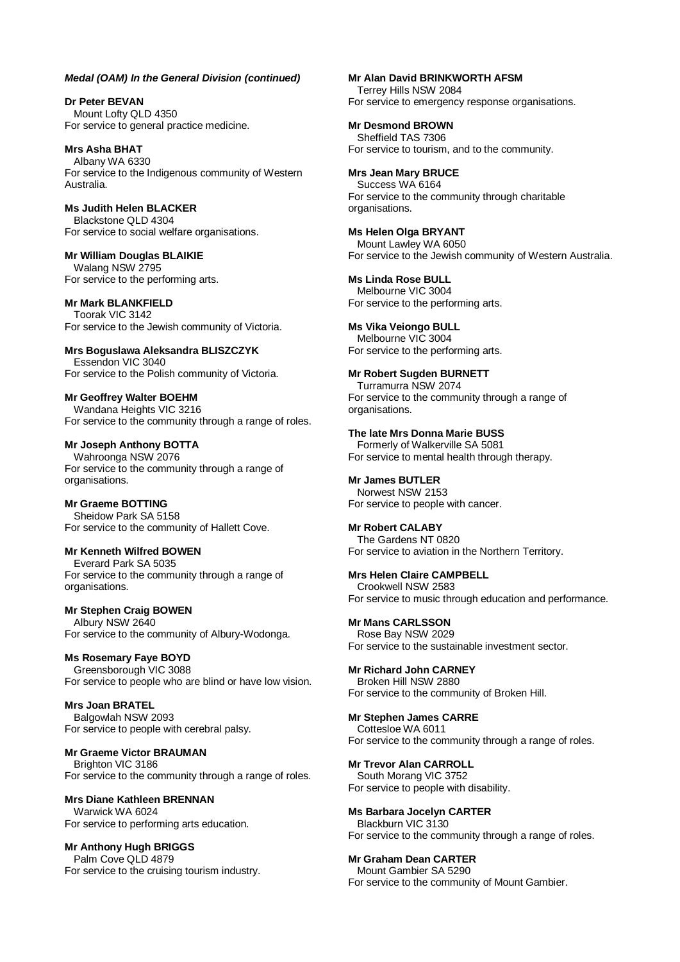**Dr Peter BEVAN** Mount Lofty QLD 4350 For service to general practice medicine.

**Mrs Asha BHAT** Albany WA 6330 For service to the Indigenous community of Western Australia.

**Ms Judith Helen BLACKER** Blackstone QLD 4304 For service to social welfare organisations.

**Mr William Douglas BLAIKIE** Walang NSW 2795 For service to the performing arts.

#### **Mr Mark BLANKFIELD**

Toorak VIC 3142 For service to the Jewish community of Victoria.

**Mrs Boguslawa Aleksandra BLISZCZYK** Essendon VIC 3040 For service to the Polish community of Victoria.

**Mr Geoffrey Walter BOEHM** Wandana Heights VIC 3216 For service to the community through a range of roles.

#### **Mr Joseph Anthony BOTTA**

Wahroonga NSW 2076 For service to the community through a range of organisations.

#### **Mr Graeme BOTTING**

Sheidow Park SA 5158 For service to the community of Hallett Cove.

#### **Mr Kenneth Wilfred BOWEN**

Everard Park SA 5035 For service to the community through a range of organisations.

#### **Mr Stephen Craig BOWEN** Albury NSW 2640

For service to the community of Albury-Wodonga.

**Ms Rosemary Faye BOYD** Greensborough VIC 3088 For service to people who are blind or have low vision.

**Mrs Joan BRATEL** Balgowlah NSW 2093 For service to people with cerebral palsy.

**Mr Graeme Victor BRAUMAN**

Brighton VIC 3186 For service to the community through a range of roles.

**Mrs Diane Kathleen BRENNAN** Warwick WA 6024 For service to performing arts education.

**Mr Anthony Hugh BRIGGS** Palm Cove QLD 4879 For service to the cruising tourism industry.

#### **Mr Alan David BRINKWORTH AFSM**

Terrey Hills NSW 2084 For service to emergency response organisations.

**Mr Desmond BROWN**

Sheffield TAS 7306 For service to tourism, and to the community.

**Mrs Jean Mary BRUCE** Success WA 6164 For service to the community through charitable organisations.

**Ms Helen Olga BRYANT** Mount Lawley WA 6050 For service to the Jewish community of Western Australia.

**Ms Linda Rose BULL** Melbourne VIC 3004 For service to the performing arts.

**Ms Vika Veiongo BULL** Melbourne VIC 3004 For service to the performing arts.

**Mr Robert Sugden BURNETT** Turramurra NSW 2074 For service to the community through a range of organisations.

**The late Mrs Donna Marie BUSS** Formerly of Walkerville SA 5081 For service to mental health through therapy.

**Mr James BUTLER** Norwest NSW 2153 For service to people with cancer.

**Mr Robert CALABY**

The Gardens NT 0820 For service to aviation in the Northern Territory.

**Mrs Helen Claire CAMPBELL** Crookwell NSW 2583 For service to music through education and performance.

**Mr Mans CARLSSON**

Rose Bay NSW 2029 For service to the sustainable investment sector.

**Mr Richard John CARNEY** Broken Hill NSW 2880 For service to the community of Broken Hill.

**Mr Stephen James CARRE** Cottesloe WA 6011

For service to the community through a range of roles.

**Mr Trevor Alan CARROLL** South Morang VIC 3752 For service to people with disability.

**Ms Barbara Jocelyn CARTER** Blackburn VIC 3130 For service to the community through a range of roles.

**Mr Graham Dean CARTER** Mount Gambier SA 5290 For service to the community of Mount Gambier.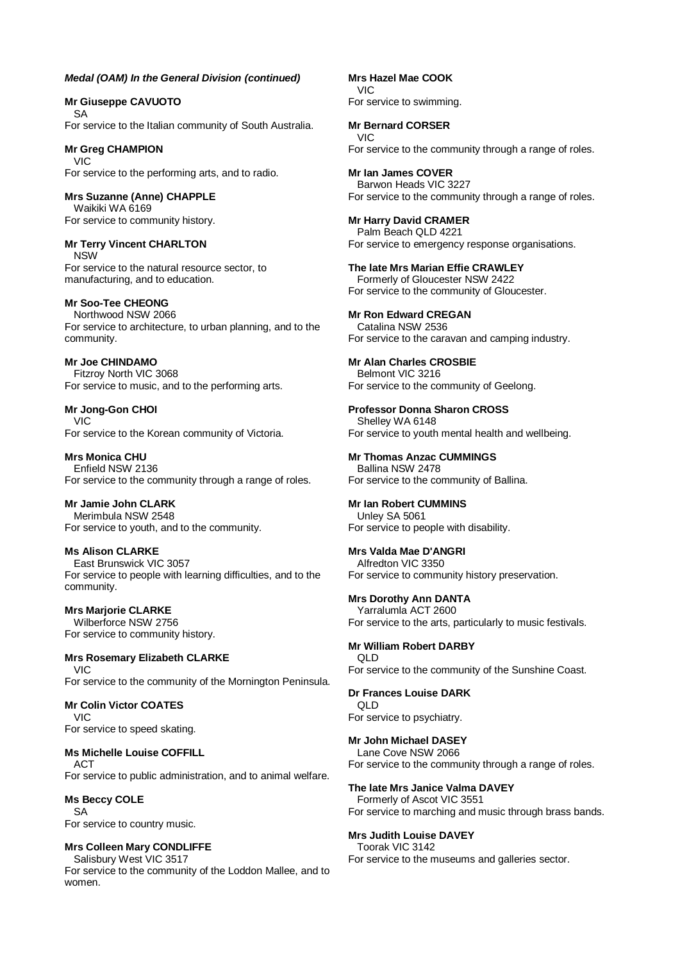#### **Mr Giuseppe CAVUOTO** SA

For service to the Italian community of South Australia.

#### **Mr Greg CHAMPION** VIC

For service to the performing arts, and to radio.

**Mrs Suzanne (Anne) CHAPPLE** Waikiki WA 6169 For service to community history.

#### **Mr Terry Vincent CHARLTON** NSW

For service to the natural resource sector, to manufacturing, and to education.

# **Mr Soo-Tee CHEONG**

Northwood NSW 2066 For service to architecture, to urban planning, and to the community.

**Mr Joe CHINDAMO** Fitzroy North VIC 3068 For service to music, and to the performing arts.

**Mr Jong-Gon CHOI** VIC For service to the Korean community of Victoria.

**Mrs Monica CHU** Enfield NSW 2136 For service to the community through a range of roles.

**Mr Jamie John CLARK** Merimbula NSW 2548 For service to youth, and to the community.

**Ms Alison CLARKE** East Brunswick VIC 3057 For service to people with learning difficulties, and to the community.

# **Mrs Marjorie CLARKE**

Wilberforce NSW 2756 For service to community history.

**Mrs Rosemary Elizabeth CLARKE** VIC For service to the community of the Mornington Peninsula.

# **Mr Colin Victor COATES** VIC

For service to speed skating.

# **Ms Michelle Louise COFFILL**

ACT For service to public administration, and to animal welfare.

#### **Ms Beccy COLE** SA

For service to country music.

# **Mrs Colleen Mary CONDLIFFE**

Salisbury West VIC 3517 For service to the community of the Loddon Mallee, and to women.

**Mrs Hazel Mae COOK** VIC For service to swimming.

# **Mr Bernard CORSER**

VIC For service to the community through a range of roles.

**Mr Ian James COVER** Barwon Heads VIC 3227 For service to the community through a range of roles.

# **Mr Harry David CRAMER** Palm Beach QLD 4221

For service to emergency response organisations.

# **The late Mrs Marian Effie CRAWLEY**

Formerly of Gloucester NSW 2422 For service to the community of Gloucester.

#### **Mr Ron Edward CREGAN** Catalina NSW 2536 For service to the caravan and camping industry.

#### **Mr Alan Charles CROSBIE** Belmont VIC 3216 For service to the community of Geelong.

**Professor Donna Sharon CROSS** Shelley WA 6148 For service to youth mental health and wellbeing.

**Mr Thomas Anzac CUMMINGS** Ballina NSW 2478 For service to the community of Ballina.

# **Mr Ian Robert CUMMINS**

Unley SA 5061 For service to people with disability.

# **Mrs Valda Mae D'ANGRI**

Alfredton VIC 3350 For service to community history preservation.

**Mrs Dorothy Ann DANTA** Yarralumla ACT 2600 For service to the arts, particularly to music festivals.

#### **Mr William Robert DARBY** QLD For service to the community of the Sunshine Coast.

# **Dr Frances Louise DARK** QLD

For service to psychiatry.

# **Mr John Michael DASEY**

Lane Cove NSW 2066 For service to the community through a range of roles.

# **The late Mrs Janice Valma DAVEY**

Formerly of Ascot VIC 3551 For service to marching and music through brass bands.

# **Mrs Judith Louise DAVEY**

Toorak VIC 3142 For service to the museums and galleries sector.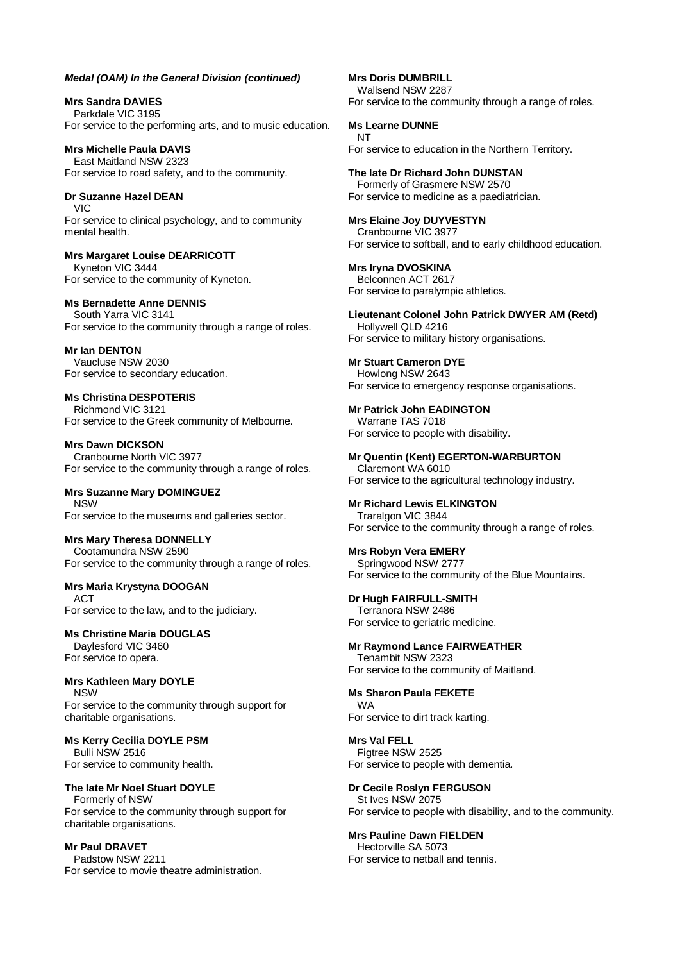**Mrs Sandra DAVIES** Parkdale VIC 3195 For service to the performing arts, and to music education.

**Mrs Michelle Paula DAVIS** East Maitland NSW 2323 For service to road safety, and to the community.

**Dr Suzanne Hazel DEAN** VIC For service to clinical psychology, and to community mental health.

**Mrs Margaret Louise DEARRICOTT** Kyneton VIC 3444 For service to the community of Kyneton.

#### **Ms Bernadette Anne DENNIS** South Yarra VIC 3141

For service to the community through a range of roles.

**Mr Ian DENTON** Vaucluse NSW 2030 For service to secondary education.

**Ms Christina DESPOTERIS** Richmond VIC 3121 For service to the Greek community of Melbourne.

**Mrs Dawn DICKSON** Cranbourne North VIC 3977 For service to the community through a range of roles.

**Mrs Suzanne Mary DOMINGUEZ** NSW For service to the museums and galleries sector.

**Mrs Mary Theresa DONNELLY** Cootamundra NSW 2590 For service to the community through a range of roles.

# **Mrs Maria Krystyna DOOGAN**

ACT For service to the law, and to the judiciary.

**Ms Christine Maria DOUGLAS** Daylesford VIC 3460

For service to opera.

**Mrs Kathleen Mary DOYLE NSW** For service to the community through support for charitable organisations.

**Ms Kerry Cecilia DOYLE PSM** Bulli NSW 2516 For service to community health.

**The late Mr Noel Stuart DOYLE** Formerly of NSW For service to the community through support for charitable organisations.

**Mr Paul DRAVET** Padstow NSW 2211 For service to movie theatre administration. **Mrs Doris DUMBRILL** Wallsend NSW 2287 For service to the community through a range of roles.

**Ms Learne DUNNE** NT For service to education in the Northern Territory.

**The late Dr Richard John DUNSTAN** Formerly of Grasmere NSW 2570 For service to medicine as a paediatrician.

**Mrs Elaine Joy DUYVESTYN** Cranbourne VIC 3977 For service to softball, and to early childhood education.

**Mrs Iryna DVOSKINA** Belconnen ACT 2617 For service to paralympic athletics.

**Lieutenant Colonel John Patrick DWYER AM (Retd)** Hollywell QLD 4216 For service to military history organisations.

**Mr Stuart Cameron DYE** Howlong NSW 2643 For service to emergency response organisations.

**Mr Patrick John EADINGTON** Warrane TAS 7018 For service to people with disability.

**Mr Quentin (Kent) EGERTON-WARBURTON** Claremont WA 6010 For service to the agricultural technology industry.

**Mr Richard Lewis ELKINGTON** Traralgon VIC 3844

For service to the community through a range of roles.

**Mrs Robyn Vera EMERY**

Springwood NSW 2777 For service to the community of the Blue Mountains.

**Dr Hugh FAIRFULL-SMITH** Terranora NSW 2486 For service to geriatric medicine.

**Mr Raymond Lance FAIRWEATHER** Tenambit NSW 2323

For service to the community of Maitland.

**Ms Sharon Paula FEKETE** WA For service to dirt track karting.

**Mrs Val FELL** Figtree NSW 2525 For service to people with dementia.

**Dr Cecile Roslyn FERGUSON** St Ives NSW 2075 For service to people with disability, and to the community.

**Mrs Pauline Dawn FIELDEN** Hectorville SA 5073 For service to netball and tennis.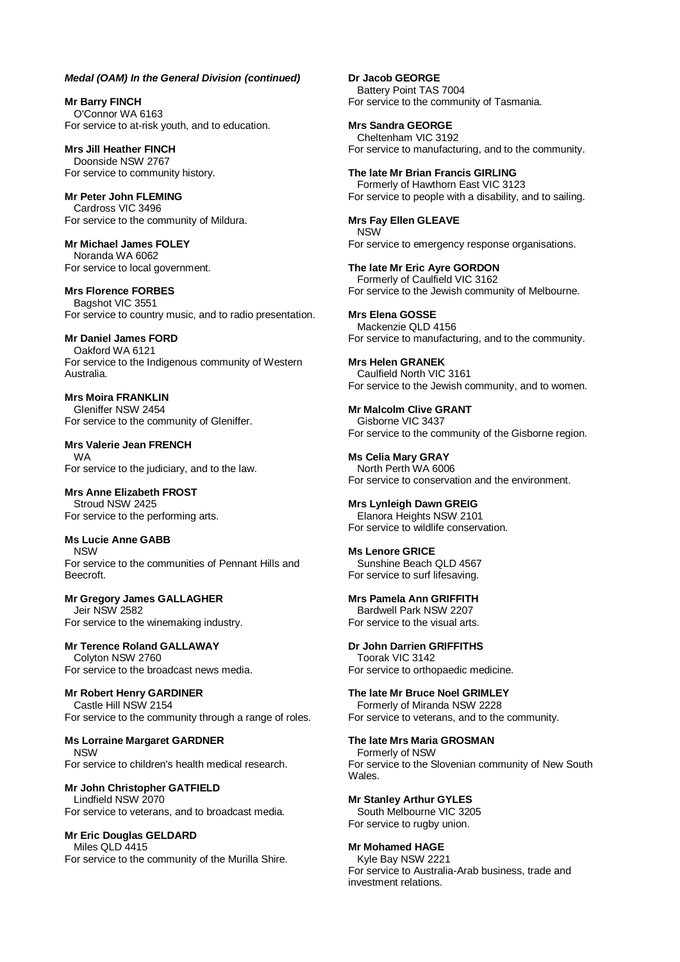**Mr Barry FINCH** O'Connor WA 6163 For service to at-risk youth, and to education.

**Mrs Jill Heather FINCH** Doonside NSW 2767 For service to community history.

**Mr Peter John FLEMING** Cardross VIC 3496 For service to the community of Mildura.

**Mr Michael James FOLEY** Noranda WA 6062 For service to local government.

**Mrs Florence FORBES** Bagshot VIC 3551 For service to country music, and to radio presentation.

**Mr Daniel James FORD** Oakford WA 6121 For service to the Indigenous community of Western Australia.

**Mrs Moira FRANKLIN** Gleniffer NSW 2454 For service to the community of Gleniffer.

**Mrs Valerie Jean FRENCH** WA For service to the judiciary, and to the law.

**Mrs Anne Elizabeth FROST** Stroud NSW 2425 For service to the performing arts.

**Ms Lucie Anne GABB** NSW For service to the communities of Pennant Hills and Beecroft.

**Mr Gregory James GALLAGHER** Jeir NSW 2582 For service to the winemaking industry.

# **Mr Terence Roland GALLAWAY**

Colyton NSW 2760 For service to the broadcast news media.

**Mr Robert Henry GARDINER**

Castle Hill NSW 2154 For service to the community through a range of roles.

**Ms Lorraine Margaret GARDNER** NSW For service to children's health medical research.

# **Mr John Christopher GATFIELD**

Lindfield NSW 2070 For service to veterans, and to broadcast media.

**Mr Eric Douglas GELDARD**

Miles QLD 4415 For service to the community of the Murilla Shire. **Dr Jacob GEORGE** Battery Point TAS 7004 For service to the community of Tasmania.

**Mrs Sandra GEORGE** Cheltenham VIC 3192 For service to manufacturing, and to the community.

**The late Mr Brian Francis GIRLING** Formerly of Hawthorn East VIC 3123 For service to people with a disability, and to sailing.

**Mrs Fay Ellen GLEAVE NSW** For service to emergency response organisations.

**The late Mr Eric Ayre GORDON** Formerly of Caulfield VIC 3162 For service to the Jewish community of Melbourne.

**Mrs Elena GOSSE** Mackenzie QLD 4156 For service to manufacturing, and to the community.

**Mrs Helen GRANEK** Caulfield North VIC 3161 For service to the Jewish community, and to women.

**Mr Malcolm Clive GRANT** Gisborne VIC 3437 For service to the community of the Gisborne region.

**Ms Celia Mary GRAY** North Perth WA 6006 For service to conservation and the environment.

**Mrs Lynleigh Dawn GREIG** Elanora Heights NSW 2101 For service to wildlife conservation.

**Ms Lenore GRICE** Sunshine Beach QLD 4567 For service to surf lifesaving.

**Mrs Pamela Ann GRIFFITH** Bardwell Park NSW 2207 For service to the visual arts.

**Dr John Darrien GRIFFITHS** Toorak VIC 3142 For service to orthopaedic medicine.

**The late Mr Bruce Noel GRIMLEY** Formerly of Miranda NSW 2228 For service to veterans, and to the community.

**The late Mrs Maria GROSMAN** Formerly of NSW For service to the Slovenian community of New South Wales.

**Mr Stanley Arthur GYLES** South Melbourne VIC 3205 For service to rugby union.

**Mr Mohamed HAGE** Kyle Bay NSW 2221 For service to Australia-Arab business, trade and investment relations.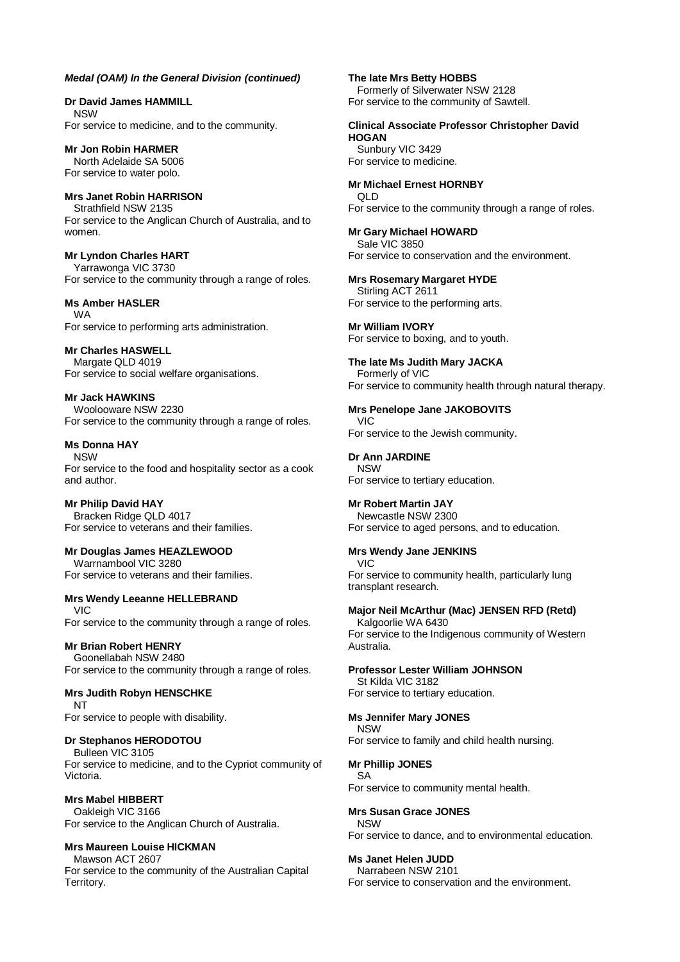**Dr David James HAMMILL** NSW For service to medicine, and to the community.

**Mr Jon Robin HARMER** North Adelaide SA 5006 For service to water polo.

**Mrs Janet Robin HARRISON** Strathfield NSW 2135 For service to the Anglican Church of Australia, and to women.

**Mr Lyndon Charles HART** Yarrawonga VIC 3730 For service to the community through a range of roles.

# **Ms Amber HASLER**

WA For service to performing arts administration.

# **Mr Charles HASWELL**

Margate QLD 4019 For service to social welfare organisations.

**Mr Jack HAWKINS** Woolooware NSW 2230

For service to the community through a range of roles.

**Ms Donna HAY** NSW For service to the food and hospitality sector as a cook

and author.

**Mr Philip David HAY** Bracken Ridge QLD 4017 For service to veterans and their families.

# **Mr Douglas James HEAZLEWOOD**

Warrnambool VIC 3280 For service to veterans and their families.

**Mrs Wendy Leeanne HELLEBRAND** VIC For service to the community through a range of roles.

# **Mr Brian Robert HENRY**

Goonellabah NSW 2480 For service to the community through a range of roles.

#### **Mrs Judith Robyn HENSCHKE** NT

For service to people with disability.

# **Dr Stephanos HERODOTOU**

Bulleen VIC 3105 For service to medicine, and to the Cypriot community of Victoria.

# **Mrs Mabel HIBBERT**

Oakleigh VIC 3166 For service to the Anglican Church of Australia.

# **Mrs Maureen Louise HICKMAN**

Mawson ACT 2607 For service to the community of the Australian Capital Territory.

**The late Mrs Betty HOBBS**

Formerly of Silverwater NSW 2128 For service to the community of Sawtell.

#### **Clinical Associate Professor Christopher David HOGAN**

Sunbury VIC 3429 For service to medicine.

# **Mr Michael Ernest HORNBY**

QLD For service to the community through a range of roles.

**Mr Gary Michael HOWARD** Sale VIC 3850

For service to conservation and the environment.

# **Mrs Rosemary Margaret HYDE**

Stirling ACT 2611 For service to the performing arts.

**Mr William IVORY** For service to boxing, and to youth.

**The late Ms Judith Mary JACKA** Formerly of VIC For service to community health through natural therapy.

**Mrs Penelope Jane JAKOBOVITS** VIC

For service to the Jewish community.

# **Dr Ann JARDINE**

NSW For service to tertiary education.

# **Mr Robert Martin JAY**

Newcastle NSW 2300 For service to aged persons, and to education.

# **Mrs Wendy Jane JENKINS**

VIC For service to community health, particularly lung transplant research.

# **Major Neil McArthur (Mac) JENSEN RFD (Retd)**

Kalgoorlie WA 6430 For service to the Indigenous community of Western Australia.

#### **Professor Lester William JOHNSON** St Kilda VIC 3182

For service to tertiary education.

# **Ms Jennifer Mary JONES**

NSW For service to family and child health nursing.

#### **Mr Phillip JONES** SA

For service to community mental health.

# **Mrs Susan Grace JONES**

NSW For service to dance, and to environmental education.

# **Ms Janet Helen JUDD**

Narrabeen NSW 2101 For service to conservation and the environment.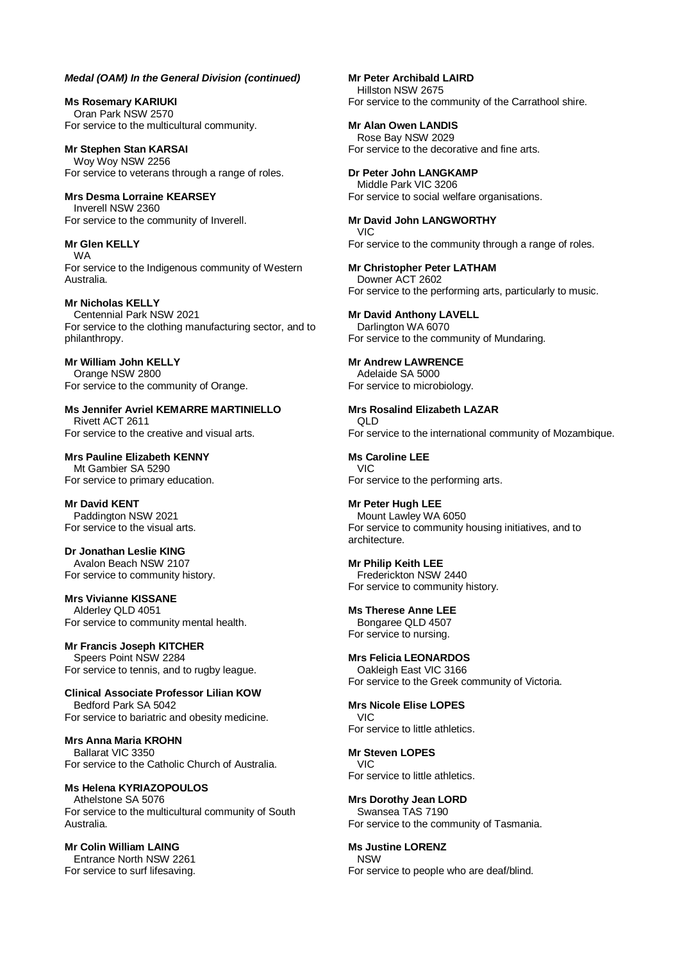**Ms Rosemary KARIUKI** Oran Park NSW 2570 For service to the multicultural community.

**Mr Stephen Stan KARSAI** Woy Woy NSW 2256 For service to veterans through a range of roles.

**Mrs Desma Lorraine KEARSEY** Inverell NSW 2360 For service to the community of Inverell.

**Mr Glen KELLY** WA

For service to the Indigenous community of Western Australia.

**Mr Nicholas KELLY** Centennial Park NSW 2021 For service to the clothing manufacturing sector, and to philanthropy.

**Mr William John KELLY** Orange NSW 2800 For service to the community of Orange.

**Ms Jennifer Avriel KEMARRE MARTINIELLO** Rivett ACT 2611 For service to the creative and visual arts.

**Mrs Pauline Elizabeth KENNY** Mt Gambier SA 5290 For service to primary education.

**Mr David KENT** Paddington NSW 2021 For service to the visual arts.

**Dr Jonathan Leslie KING** Avalon Beach NSW 2107 For service to community history.

**Mrs Vivianne KISSANE** Alderley QLD 4051 For service to community mental health.

**Mr Francis Joseph KITCHER** Speers Point NSW 2284 For service to tennis, and to rugby league.

**Clinical Associate Professor Lilian KOW** Bedford Park SA 5042 For service to bariatric and obesity medicine.

**Mrs Anna Maria KROHN** Ballarat VIC 3350 For service to the Catholic Church of Australia.

**Ms Helena KYRIAZOPOULOS** Athelstone SA 5076 For service to the multicultural community of South Australia.

**Mr Colin William LAING** Entrance North NSW 2261 For service to surf lifesaving. **Mr Peter Archibald LAIRD** Hillston NSW 2675 For service to the community of the Carrathool shire.

**Mr Alan Owen LANDIS** Rose Bay NSW 2029 For service to the decorative and fine arts.

**Dr Peter John LANGKAMP** Middle Park VIC 3206 For service to social welfare organisations.

**Mr David John LANGWORTHY** VIC For service to the community through a range of roles.

**Mr Christopher Peter LATHAM** Downer ACT 2602 For service to the performing arts, particularly to music.

**Mr David Anthony LAVELL** Darlington WA 6070 For service to the community of Mundaring.

**Mr Andrew LAWRENCE** Adelaide SA 5000 For service to microbiology.

**Mrs Rosalind Elizabeth LAZAR** QLD For service to the international community of Mozambique.

**Ms Caroline LEE** VIC For service to the performing arts.

**Mr Peter Hugh LEE** Mount Lawley WA 6050 For service to community housing initiatives, and to architecture.

**Mr Philip Keith LEE** Frederickton NSW 2440 For service to community history.

**Ms Therese Anne LEE** Bongaree QLD 4507 For service to nursing.

**Mrs Felicia LEONARDOS** Oakleigh East VIC 3166 For service to the Greek community of Victoria.

**Mrs Nicole Elise LOPES** VIC For service to little athletics.

**Mr Steven LOPES** VIC For service to little athletics.

**Mrs Dorothy Jean LORD** Swansea TAS 7190 For service to the community of Tasmania.

**Ms Justine LORENZ NSW** For service to people who are deaf/blind.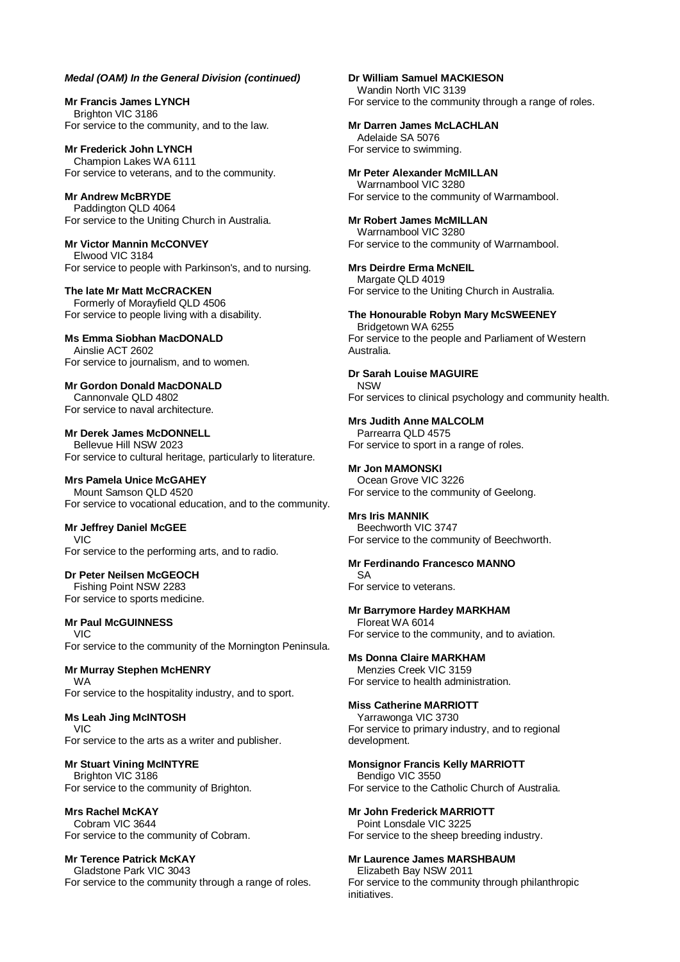**Mr Francis James LYNCH** Brighton VIC 3186 For service to the community, and to the law.

**Mr Frederick John LYNCH** Champion Lakes WA 6111 For service to veterans, and to the community.

**Mr Andrew McBRYDE** Paddington QLD 4064 For service to the Uniting Church in Australia.

#### **Mr Victor Mannin McCONVEY** Elwood VIC 3184 For service to people with Parkinson's, and to nursing.

**The late Mr Matt McCRACKEN** Formerly of Morayfield QLD 4506 For service to people living with a disability.

**Ms Emma Siobhan MacDONALD** Ainslie ACT 2602 For service to journalism, and to women.

#### **Mr Gordon Donald MacDONALD** Cannonvale QLD 4802

For service to naval architecture.

**Mr Derek James McDONNELL** Bellevue Hill NSW 2023 For service to cultural heritage, particularly to literature.

# **Mrs Pamela Unice McGAHEY**

Mount Samson QLD 4520 For service to vocational education, and to the community.

# **Mr Jeffrey Daniel McGEE**

VIC For service to the performing arts, and to radio.

# **Dr Peter Neilsen McGEOCH**

Fishing Point NSW 2283 For service to sports medicine.

# **Mr Paul McGUINNESS**

VIC For service to the community of the Mornington Peninsula.

# **Mr Murray Stephen McHENRY**

WA For service to the hospitality industry, and to sport.

# **Ms Leah Jing McINTOSH**

VIC For service to the arts as a writer and publisher.

# **Mr Stuart Vining McINTYRE**

Brighton VIC 3186 For service to the community of Brighton.

# **Mrs Rachel McKAY**

Cobram VIC 3644 For service to the community of Cobram.

# **Mr Terence Patrick McKAY**

Gladstone Park VIC 3043 For service to the community through a range of roles. **Dr William Samuel MACKIESON** Wandin North VIC 3139 For service to the community through a range of roles.

# **Mr Darren James McLACHLAN**

Adelaide SA 5076 For service to swimming.

# **Mr Peter Alexander McMILLAN**

Warrnambool VIC 3280 For service to the community of Warrnambool.

**Mr Robert James McMILLAN** Warrnambool VIC 3280 For service to the community of Warrnambool.

# **Mrs Deirdre Erma McNEIL**

Margate QLD 4019 For service to the Uniting Church in Australia.

# **The Honourable Robyn Mary McSWEENEY**

Bridgetown WA 6255 For service to the people and Parliament of Western Australia.

# **Dr Sarah Louise MAGUIRE**

**NSW** For services to clinical psychology and community health.

# **Mrs Judith Anne MALCOLM** Parrearra QLD 4575

For service to sport in a range of roles.

# **Mr Jon MAMONSKI**

Ocean Grove VIC 3226 For service to the community of Geelong.

# **Mrs Iris MANNIK**

Beechworth VIC 3747 For service to the community of Beechworth.

# **Mr Ferdinando Francesco MANNO**

SA For service to veterans.

# **Mr Barrymore Hardey MARKHAM**

Floreat WA 6014 For service to the community, and to aviation.

**Ms Donna Claire MARKHAM** Menzies Creek VIC 3159 For service to health administration.

# **Miss Catherine MARRIOTT**

Yarrawonga VIC 3730 For service to primary industry, and to regional development.

# **Monsignor Francis Kelly MARRIOTT**

Bendigo VIC 3550 For service to the Catholic Church of Australia.

# **Mr John Frederick MARRIOTT**

Point Lonsdale VIC 3225 For service to the sheep breeding industry.

# **Mr Laurence James MARSHBAUM**

Elizabeth Bay NSW 2011 For service to the community through philanthropic initiatives.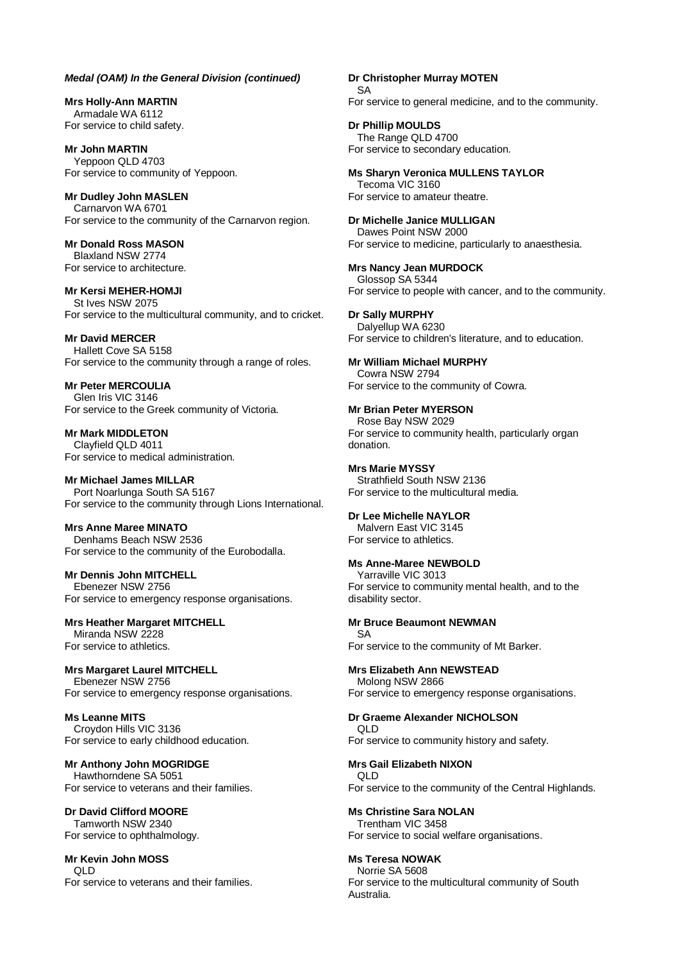**Mrs Holly-Ann MARTIN** Armadale WA 6112 For service to child safety.

**Mr John MARTIN** Yeppoon QLD 4703 For service to community of Yeppoon.

**Mr Dudley John MASLEN** Carnarvon WA 6701 For service to the community of the Carnarvon region.

**Mr Donald Ross MASON** Blaxland NSW 2774 For service to architecture.

**Mr Kersi MEHER-HOMJI** St Ives NSW 2075 For service to the multicultural community, and to cricket.

**Mr David MERCER** Hallett Cove SA 5158 For service to the community through a range of roles.

**Mr Peter MERCOULIA** Glen Iris VIC 3146 For service to the Greek community of Victoria.

**Mr Mark MIDDLETON** Clayfield QLD 4011 For service to medical administration.

**Mr Michael James MILLAR** Port Noarlunga South SA 5167 For service to the community through Lions International.

**Mrs Anne Maree MINATO** Denhams Beach NSW 2536 For service to the community of the Eurobodalla.

**Mr Dennis John MITCHELL** Ebenezer NSW 2756 For service to emergency response organisations.

**Mrs Heather Margaret MITCHELL** Miranda NSW 2228

For service to athletics.

**Mrs Margaret Laurel MITCHELL** Ebenezer NSW 2756 For service to emergency response organisations.

**Ms Leanne MITS** Croydon Hills VIC 3136 For service to early childhood education.

**Mr Anthony John MOGRIDGE** Hawthorndene SA 5051 For service to veterans and their families.

**Dr David Clifford MOORE** Tamworth NSW 2340 For service to ophthalmology.

**Mr Kevin John MOSS**  $\cap$  D For service to veterans and their families. **Dr Christopher Murray MOTEN**

SA For service to general medicine, and to the community.

**Dr Phillip MOULDS**

The Range QLD 4700 For service to secondary education.

**Ms Sharyn Veronica MULLENS TAYLOR**

Tecoma VIC 3160 For service to amateur theatre.

**Dr Michelle Janice MULLIGAN**

Dawes Point NSW 2000 For service to medicine, particularly to anaesthesia.

**Mrs Nancy Jean MURDOCK**

Glossop SA 5344 For service to people with cancer, and to the community.

**Dr Sally MURPHY** Dalyellup WA 6230 For service to children's literature, and to education.

**Mr William Michael MURPHY** Cowra NSW 2794 For service to the community of Cowra.

**Mr Brian Peter MYERSON** Rose Bay NSW 2029

For service to community health, particularly organ donation.

**Mrs Marie MYSSY** Strathfield South NSW 2136 For service to the multicultural media.

**Dr Lee Michelle NAYLOR** Malvern East VIC 3145 For service to athletics.

**Ms Anne-Maree NEWBOLD**

Yarraville VIC 3013 For service to community mental health, and to the

disability sector.

**Mr Bruce Beaumont NEWMAN** SA For service to the community of Mt Barker.

**Mrs Elizabeth Ann NEWSTEAD** Molong NSW 2866

For service to emergency response organisations.

**Dr Graeme Alexander NICHOLSON** QLD For service to community history and safety.

**Mrs Gail Elizabeth NIXON**

QLD For service to the community of the Central Highlands.

**Ms Christine Sara NOLAN** Trentham VIC 3458 For service to social welfare organisations.

**Ms Teresa NOWAK** Norrie SA 5608 For service to the multicultural community of South

Australia.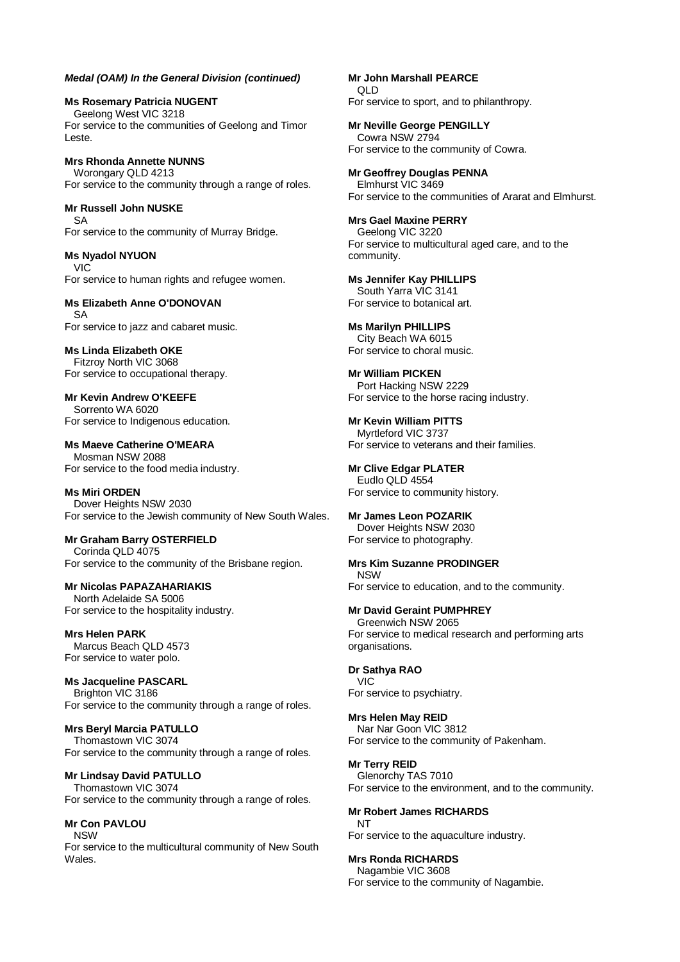**Ms Rosemary Patricia NUGENT** Geelong West VIC 3218 For service to the communities of Geelong and Timor Leste.

**Mrs Rhonda Annette NUNNS** Worongary QLD 4213 For service to the community through a range of roles.

**Mr Russell John NUSKE** SA For service to the community of Murray Bridge.

**Ms Nyadol NYUON** VIC For service to human rights and refugee women.

# **Ms Elizabeth Anne O'DONOVAN**

SA For service to jazz and cabaret music.

**Ms Linda Elizabeth OKE** Fitzroy North VIC 3068 For service to occupational therapy.

**Mr Kevin Andrew O'KEEFE** Sorrento WA 6020 For service to Indigenous education.

**Ms Maeve Catherine O'MEARA** Mosman NSW 2088 For service to the food media industry.

**Ms Miri ORDEN** Dover Heights NSW 2030 For service to the Jewish community of New South Wales.

**Mr Graham Barry OSTERFIELD** Corinda QLD 4075 For service to the community of the Brisbane region.

**Mr Nicolas PAPAZAHARIAKIS** North Adelaide SA 5006 For service to the hospitality industry.

**Mrs Helen PARK** Marcus Beach QLD 4573 For service to water polo.

**Ms Jacqueline PASCARL** Brighton VIC 3186 For service to the community through a range of roles.

**Mrs Beryl Marcia PATULLO** Thomastown VIC 3074 For service to the community through a range of roles.

**Mr Lindsay David PATULLO** Thomastown VIC 3074 For service to the community through a range of roles.

**Mr Con PAVLOU** NSW For service to the multicultural community of New South Wales.

**Mr John Marshall PEARCE** QLD For service to sport, and to philanthropy.

**Mr Neville George PENGILLY** Cowra NSW 2794 For service to the community of Cowra.

**Mr Geoffrey Douglas PENNA** Elmhurst VIC 3469 For service to the communities of Ararat and Elmhurst.

**Mrs Gael Maxine PERRY** Geelong VIC 3220 For service to multicultural aged care, and to the community.

**Ms Jennifer Kay PHILLIPS** South Yarra VIC 3141 For service to botanical art.

**Ms Marilyn PHILLIPS** City Beach WA 6015 For service to choral music.

**Mr William PICKEN** Port Hacking NSW 2229 For service to the horse racing industry.

**Mr Kevin William PITTS** Myrtleford VIC 3737 For service to veterans and their families.

**Mr Clive Edgar PLATER** Eudlo QLD 4554 For service to community history.

**Mr James Leon POZARIK** Dover Heights NSW 2030 For service to photography.

**Mrs Kim Suzanne PRODINGER** NSW For service to education, and to the community.

**Mr David Geraint PUMPHREY** Greenwich NSW 2065

For service to medical research and performing arts organisations.

**Dr Sathya RAO** VIC For service to psychiatry.

**Mrs Helen May REID** Nar Nar Goon VIC 3812 For service to the community of Pakenham.

**Mr Terry REID** Glenorchy TAS 7010 For service to the environment, and to the community.

**Mr Robert James RICHARDS** NT For service to the aquaculture industry.

**Mrs Ronda RICHARDS** Nagambie VIC 3608 For service to the community of Nagambie.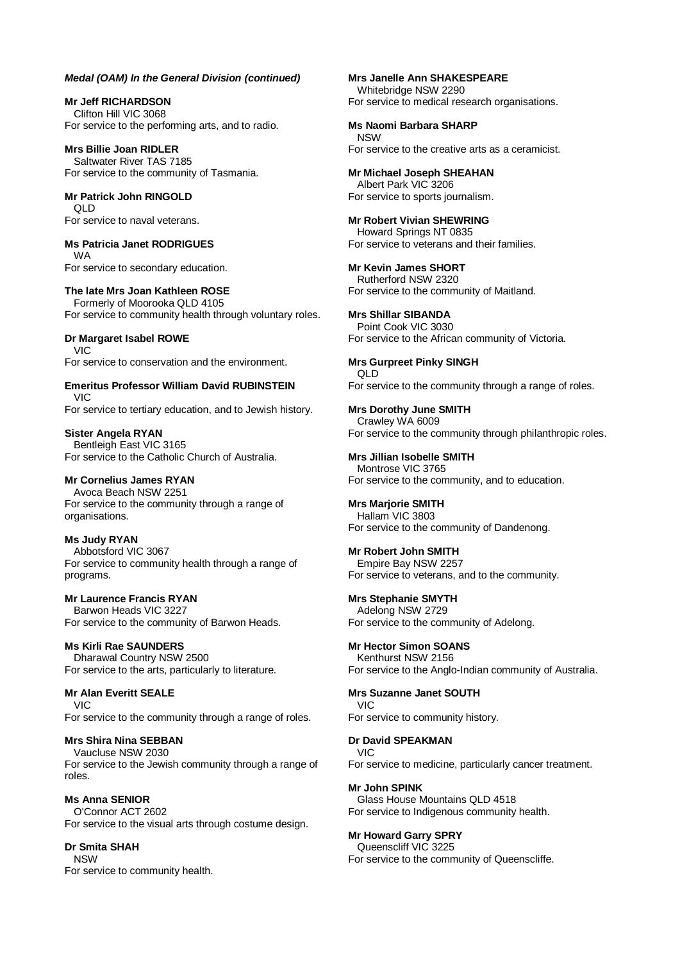**Mr Jeff RICHARDSON** Clifton Hill VIC 3068 For service to the performing arts, and to radio.

**Mrs Billie Joan RIDLER** Saltwater River TAS 7185 For service to the community of Tasmania.

**Mr Patrick John RINGOLD** QLD For service to naval veterans.

**Ms Patricia Janet RODRIGUES** WA For service to secondary education.

**The late Mrs Joan Kathleen ROSE** Formerly of Moorooka QLD 4105 For service to community health through voluntary roles.

**Dr Margaret Isabel ROWE** VIC For service to conservation and the environment.

**Emeritus Professor William David RUBINSTEIN** VIC

For service to tertiary education, and to Jewish history.

**Sister Angela RYAN** Bentleigh East VIC 3165 For service to the Catholic Church of Australia.

# **Mr Cornelius James RYAN**

Avoca Beach NSW 2251 For service to the community through a range of organisations.

**Ms Judy RYAN** Abbotsford VIC 3067 For service to community health through a range of programs.

**Mr Laurence Francis RYAN** Barwon Heads VIC 3227 For service to the community of Barwon Heads.

# **Ms Kirli Rae SAUNDERS**

Dharawal Country NSW 2500 For service to the arts, particularly to literature.

**Mr Alan Everitt SEALE** VIC For service to the community through a range of roles.

# **Mrs Shira Nina SEBBAN**

Vaucluse NSW 2030 For service to the Jewish community through a range of roles.

**Ms Anna SENIOR** O'Connor ACT 2602 For service to the visual arts through costume design.

# **Dr Smita SHAH**

NSW For service to community health. **Mrs Janelle Ann SHAKESPEARE** Whitebridge NSW 2290 For service to medical research organisations.

**Ms Naomi Barbara SHARP**

**NSW** For service to the creative arts as a ceramicist.

**Mr Michael Joseph SHEAHAN** Albert Park VIC 3206 For service to sports journalism.

**Mr Robert Vivian SHEWRING** Howard Springs NT 0835 For service to veterans and their families.

**Mr Kevin James SHORT** Rutherford NSW 2320 For service to the community of Maitland.

**Mrs Shillar SIBANDA** Point Cook VIC 3030 For service to the African community of Victoria.

**Mrs Gurpreet Pinky SINGH** QLD For service to the community through a range of roles.

**Mrs Dorothy June SMITH** Crawley WA 6009 For service to the community through philanthropic roles.

**Mrs Jillian Isobelle SMITH** Montrose VIC 3765 For service to the community, and to education.

**Mrs Marjorie SMITH** Hallam VIC 3803

For service to the community of Dandenong.

**Mr Robert John SMITH** Empire Bay NSW 2257 For service to veterans, and to the community.

**Mrs Stephanie SMYTH** Adelong NSW 2729 For service to the community of Adelong.

**Mr Hector Simon SOANS** Kenthurst NSW 2156 For service to the Anglo-Indian community of Australia.

**Mrs Suzanne Janet SOUTH** VIC For service to community history.

**Dr David SPEAKMAN** VIC For service to medicine, particularly cancer treatment.

**Mr John SPINK** Glass House Mountains QLD 4518 For service to Indigenous community health.

**Mr Howard Garry SPRY** Queenscliff VIC 3225 For service to the community of Queenscliffe.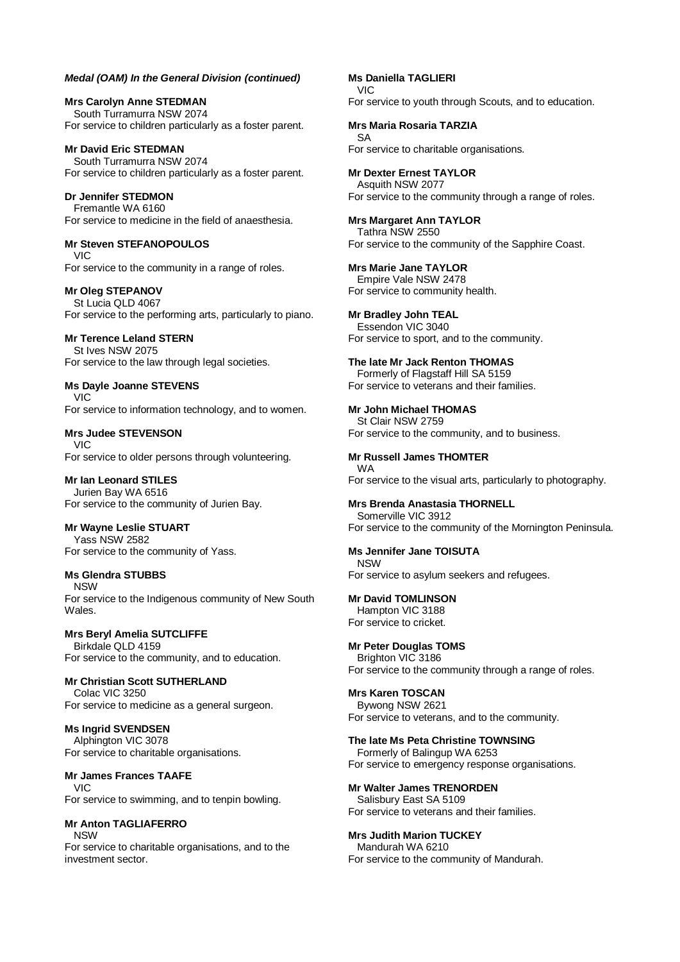**Mrs Carolyn Anne STEDMAN** South Turramurra NSW 2074 For service to children particularly as a foster parent.

**Mr David Eric STEDMAN** South Turramurra NSW 2074 For service to children particularly as a foster parent.

**Dr Jennifer STEDMON** Fremantle WA 6160 For service to medicine in the field of anaesthesia.

#### **Mr Steven STEFANOPOULOS** VIC

For service to the community in a range of roles.

**Mr Oleg STEPANOV** St Lucia QLD 4067 For service to the performing arts, particularly to piano.

**Mr Terence Leland STERN** St Ives NSW 2075 For service to the law through legal societies.

**Ms Dayle Joanne STEVENS** VIC For service to information technology, and to women.

**Mrs Judee STEVENSON** VIC For service to older persons through volunteering.

**Mr Ian Leonard STILES** Jurien Bay WA 6516 For service to the community of Jurien Bay.

**Mr Wayne Leslie STUART** Yass NSW 2582 For service to the community of Yass.

# **Ms Glendra STUBBS**

NSW For service to the Indigenous community of New South Wales.

**Mrs Beryl Amelia SUTCLIFFE** Birkdale QLD 4159 For service to the community, and to education.

**Mr Christian Scott SUTHERLAND** Colac VIC 3250 For service to medicine as a general surgeon.

**Ms Ingrid SVENDSEN** Alphington VIC 3078 For service to charitable organisations.

**Mr James Frances TAAFE** VIC For service to swimming, and to tenpin bowling.

**Mr Anton TAGLIAFERRO** NSW For service to charitable organisations, and to the investment sector.

**Ms Daniella TAGLIERI** VIC For service to youth through Scouts, and to education.

**Mrs Maria Rosaria TARZIA** SA For service to charitable organisations.

**Mr Dexter Ernest TAYLOR** Asquith NSW 2077 For service to the community through a range of roles.

**Mrs Margaret Ann TAYLOR** Tathra NSW 2550 For service to the community of the Sapphire Coast.

**Mrs Marie Jane TAYLOR** Empire Vale NSW 2478 For service to community health.

**Mr Bradley John TEAL** Essendon VIC 3040 For service to sport, and to the community.

**The late Mr Jack Renton THOMAS** Formerly of Flagstaff Hill SA 5159 For service to veterans and their families.

**Mr John Michael THOMAS** St Clair NSW 2759 For service to the community, and to business.

**Mr Russell James THOMTER** WA For service to the visual arts, particularly to photography.

**Mrs Brenda Anastasia THORNELL** Somerville VIC 3912 For service to the community of the Mornington Peninsula.

**Ms Jennifer Jane TOISUTA** NSW For service to asylum seekers and refugees.

**Mr David TOMLINSON** Hampton VIC 3188 For service to cricket.

**Mr Peter Douglas TOMS** Brighton VIC 3186 For service to the community through a range of roles.

**Mrs Karen TOSCAN** Bywong NSW 2621 For service to veterans, and to the community.

**The late Ms Peta Christine TOWNSING** Formerly of Balingup WA 6253 For service to emergency response organisations.

**Mr Walter James TRENORDEN** Salisbury East SA 5109 For service to veterans and their families.

**Mrs Judith Marion TUCKEY** Mandurah WA 6210 For service to the community of Mandurah.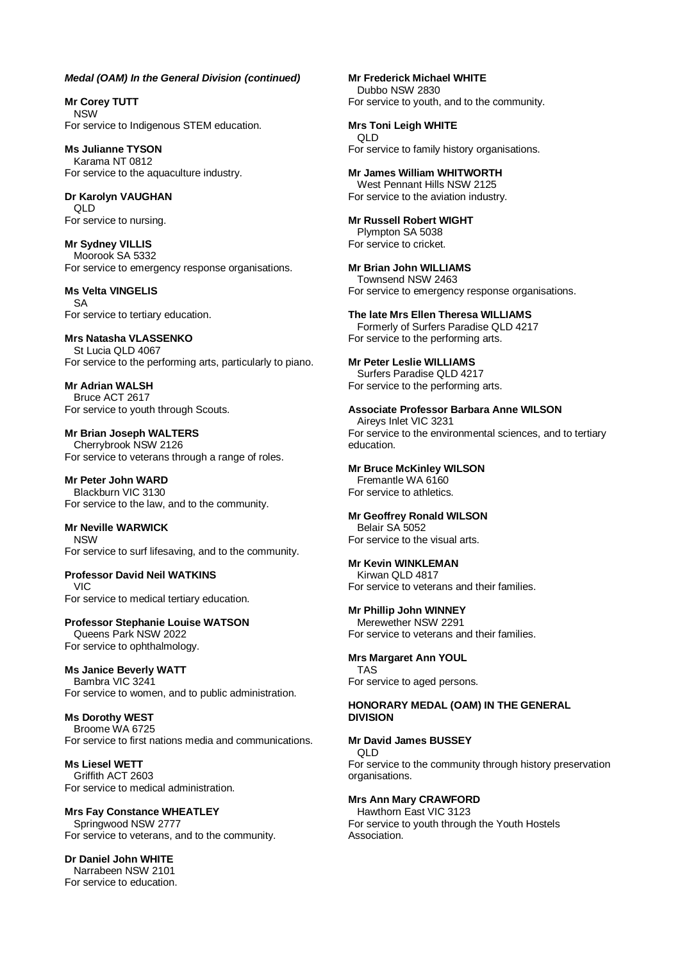**Mr Corey TUTT** NSW For service to Indigenous STEM education.

**Ms Julianne TYSON** Karama NT 0812 For service to the aquaculture industry.

**Dr Karolyn VAUGHAN** QLD For service to nursing.

**Mr Sydney VILLIS** Moorook SA 5332 For service to emergency response organisations.

**Ms Velta VINGELIS** SA For service to tertiary education.

**Mrs Natasha VLASSENKO** St Lucia QLD 4067 For service to the performing arts, particularly to piano.

**Mr Adrian WALSH** Bruce ACT 2617 For service to youth through Scouts.

**Mr Brian Joseph WALTERS** Cherrybrook NSW 2126 For service to veterans through a range of roles.

**Mr Peter John WARD** Blackburn VIC 3130 For service to the law, and to the community.

**Mr Neville WARWICK NISW** For service to surf lifesaving, and to the community.

**Professor David Neil WATKINS** VIC For service to medical tertiary education.

**Professor Stephanie Louise WATSON**

Queens Park NSW 2022 For service to ophthalmology.

**Ms Janice Beverly WATT** Bambra VIC 3241 For service to women, and to public administration.

**Ms Dorothy WEST** Broome WA 6725 For service to first nations media and communications.

**Ms Liesel WETT** Griffith ACT 2603 For service to medical administration.

**Mrs Fay Constance WHEATLEY** Springwood NSW 2777 For service to veterans, and to the community.

**Dr Daniel John WHITE** Narrabeen NSW 2101 For service to education. **Mr Frederick Michael WHITE** Dubbo NSW 2830 For service to youth, and to the community.

**Mrs Toni Leigh WHITE** QLD For service to family history organisations.

**Mr James William WHITWORTH** West Pennant Hills NSW 2125 For service to the aviation industry.

**Mr Russell Robert WIGHT** Plympton SA 5038 For service to cricket.

**Mr Brian John WILLIAMS** Townsend NSW 2463 For service to emergency response organisations.

**The late Mrs Ellen Theresa WILLIAMS** Formerly of Surfers Paradise QLD 4217 For service to the performing arts.

**Mr Peter Leslie WILLIAMS** Surfers Paradise QLD 4217 For service to the performing arts.

**Associate Professor Barbara Anne WILSON**

Aireys Inlet VIC 3231 For service to the environmental sciences, and to tertiary education.

**Mr Bruce McKinley WILSON**

Fremantle WA 6160 For service to athletics.

**Mr Geoffrey Ronald WILSON**

Belair SA 5052 For service to the visual arts.

# **Mr Kevin WINKLEMAN**

Kirwan QLD 4817 For service to veterans and their families.

**Mr Phillip John WINNEY**

Merewether NSW 2291 For service to veterans and their families.

**Mrs Margaret Ann YOUL** TAS

For service to aged persons.

#### **HONORARY MEDAL (OAM) IN THE GENERAL DIVISION**

**Mr David James BUSSEY**

QLD

For service to the community through history preservation organisations.

**Mrs Ann Mary CRAWFORD**

Hawthorn East VIC 3123 For service to youth through the Youth Hostels Association.